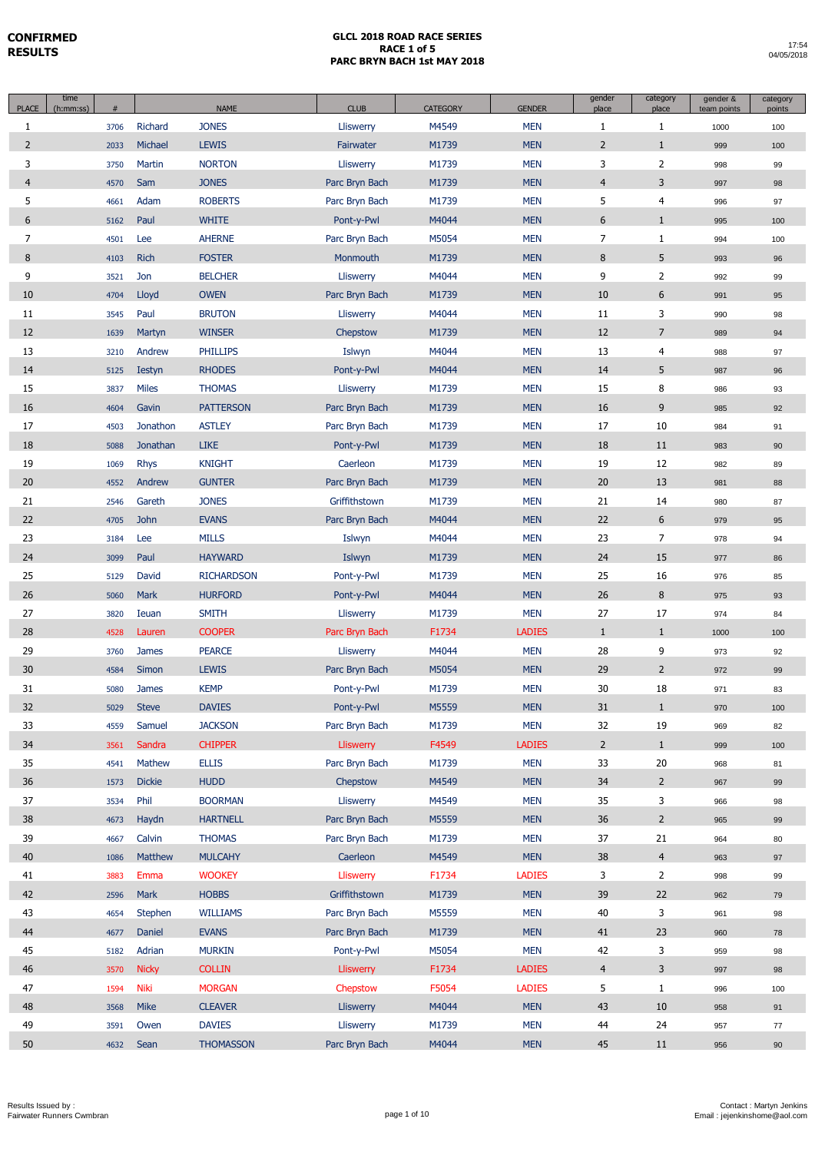| <b>PLACE</b>   | time<br>(h:mm:ss) | #            |                 | <b>NAME</b>                     | <b>CLUB</b>                | CATEGORY       | <b>GENDER</b>            | gender<br>place | category<br>place                | gender &<br>team points | category<br>points |
|----------------|-------------------|--------------|-----------------|---------------------------------|----------------------------|----------------|--------------------------|-----------------|----------------------------------|-------------------------|--------------------|
| $\mathbf{1}$   |                   | 3706         | Richard         | <b>JONES</b>                    | Lliswerry                  | M4549          | <b>MEN</b>               | 1               | $\mathbf{1}$                     | 1000                    | 100                |
| $\overline{2}$ |                   | 2033         | Michael         | <b>LEWIS</b>                    | Fairwater                  | M1739          | <b>MEN</b>               | $\overline{2}$  | $\mathbf{1}$                     | 999                     | 100                |
| 3              |                   | 3750         | Martin          | <b>NORTON</b>                   | Lliswerry                  | M1739          | <b>MEN</b>               | 3               | $\overline{2}$                   | 998                     | 99                 |
| $\overline{4}$ |                   | 4570         | Sam             | <b>JONES</b>                    | Parc Bryn Bach             | M1739          | <b>MEN</b>               | $\overline{4}$  | 3                                | 997                     | 98                 |
| 5              |                   | 4661         | Adam            | <b>ROBERTS</b>                  | Parc Bryn Bach             | M1739          | <b>MEN</b>               | 5               | $\overline{4}$                   | 996                     | 97                 |
| 6              |                   | 5162         | Paul            | <b>WHITE</b>                    | Pont-y-Pwl                 | M4044          | <b>MEN</b>               | 6               | $\mathbf{1}$                     | 995                     | 100                |
| 7              |                   | 4501         | Lee             | <b>AHERNE</b>                   | Parc Bryn Bach             | M5054          | <b>MEN</b>               | 7               | $\mathbf{1}$                     | 994                     | 100                |
| 8              |                   | 4103         | <b>Rich</b>     | <b>FOSTER</b>                   | Monmouth                   | M1739          | <b>MEN</b>               | 8               | 5                                | 993                     | 96                 |
| 9              |                   | 3521         | Jon             | <b>BELCHER</b>                  | Lliswerry                  | M4044          | <b>MEN</b>               | 9               | $\overline{2}$                   | 992                     | 99                 |
| 10             |                   | 4704         | Lloyd           | <b>OWEN</b>                     | Parc Bryn Bach             | M1739          | <b>MEN</b>               | 10              | 6                                | 991                     | 95                 |
| 11             |                   | 3545         | Paul            | <b>BRUTON</b>                   | Lliswerry                  | M4044          | <b>MEN</b>               | 11              | 3                                | 990                     | 98                 |
| 12             |                   | 1639         | Martyn          | <b>WINSER</b>                   | Chepstow                   | M1739          | <b>MEN</b>               | 12              | $\overline{7}$                   | 989                     | 94                 |
| 13             |                   | 3210         | Andrew          | <b>PHILLIPS</b>                 | Islwyn                     | M4044          | <b>MEN</b>               | 13              | 4                                | 988                     | 97                 |
| 14             |                   | 5125         | <b>Iestyn</b>   | <b>RHODES</b>                   | Pont-y-Pwl                 | M4044          | <b>MEN</b>               | 14              | 5                                | 987                     | 96                 |
| 15             |                   | 3837         | <b>Miles</b>    | <b>THOMAS</b>                   | Lliswerry                  | M1739          | <b>MEN</b>               | 15              | 8                                | 986                     | 93                 |
| 16             |                   | 4604         | Gavin           | <b>PATTERSON</b>                | Parc Bryn Bach             | M1739          | <b>MEN</b>               | 16              | 9                                | 985                     | 92                 |
| 17             |                   | 4503         | Jonathon        | <b>ASTLEY</b>                   | Parc Bryn Bach             | M1739          | <b>MEN</b>               | 17              | 10                               | 984                     | 91                 |
| 18             |                   | 5088         | Jonathan        | <b>LIKE</b>                     | Pont-y-Pwl                 | M1739          | <b>MEN</b>               | 18              | 11                               | 983                     | 90                 |
| 19             |                   | 1069         | <b>Rhys</b>     | <b>KNIGHT</b>                   | Caerleon                   | M1739          | <b>MEN</b>               | 19              | 12                               | 982                     | 89                 |
| 20             |                   | 4552         | Andrew          | <b>GUNTER</b>                   | Parc Bryn Bach             | M1739          | <b>MEN</b>               | 20              | 13                               | 981                     | 88                 |
| 21             |                   | 2546         | Gareth          | <b>JONES</b>                    | Griffithstown              | M1739          | <b>MEN</b>               | 21              | 14                               | 980                     | 87                 |
| 22             |                   | 4705         | <b>John</b>     | <b>EVANS</b>                    | Parc Bryn Bach             | M4044          | <b>MEN</b>               | 22              | 6                                | 979                     | 95                 |
| 23             |                   | 3184         | Lee             | <b>MILLS</b>                    | Islwyn                     | M4044          | <b>MEN</b>               | 23              | 7                                | 978                     | 94                 |
| 24             |                   | 3099         | Paul            | <b>HAYWARD</b>                  | Islwyn                     | M1739          | <b>MEN</b>               | 24              | 15                               | 977                     | 86                 |
| 25             |                   | 5129         | David           | <b>RICHARDSON</b>               | Pont-y-Pwl                 | M1739          | <b>MEN</b>               | 25              | 16                               | 976                     | 85                 |
| 26             |                   | 5060         | Mark            | <b>HURFORD</b>                  | Pont-y-Pwl                 | M4044          | <b>MEN</b>               | 26              | 8                                | 975                     | 93                 |
| 27             |                   | 3820         | Ieuan           | <b>SMITH</b>                    | Lliswerry                  | M1739          | <b>MEN</b>               | 27              | 17                               | 974                     | 84                 |
| 28             |                   | 4528         | Lauren          | <b>COOPER</b>                   | Parc Bryn Bach             | F1734          | <b>LADIES</b>            | $\mathbf{1}$    | $\mathbf{1}$                     | 1000                    | 100                |
| 29             |                   | 3760         | <b>James</b>    | <b>PEARCE</b>                   | Lliswerry                  | M4044          | <b>MEN</b>               | 28              | 9                                | 973                     | 92                 |
| 30             |                   | 4584         | Simon           | <b>LEWIS</b>                    | Parc Bryn Bach             | M5054          | <b>MEN</b>               | 29              | $\overline{2}$                   | 972                     | 99                 |
| 31             |                   | 5080         | <b>James</b>    | <b>KEMP</b>                     | Pont-y-Pwl                 | M1739          | <b>MEN</b>               | 30              | 18                               | 971                     | 83                 |
| 32             |                   | 5029         | Steve           | <b>DAVIES</b>                   | Pont-y-Pwl                 | M5559          | <b>MEN</b>               | $31\,$          | $\mathbf{1}$                     | 970                     | 100                |
| 33             |                   | 4559         | Samuel          | <b>JACKSON</b>                  | Parc Bryn Bach             | M1739          | <b>MEN</b>               | 32              | 19                               | 969                     | 82                 |
| 34             |                   | 3561         | Sandra          | <b>CHIPPER</b>                  | Lliswerry                  | F4549          | <b>LADIES</b>            | $2^{\circ}$     | $\mathbf{1}$                     | 999                     | 100                |
| 35             |                   | 4541         | Mathew          | <b>ELLIS</b>                    | Parc Bryn Bach             | M1739          | <b>MEN</b>               | 33              | 20                               | 968                     | 81                 |
| 36             |                   | 1573         | <b>Dickie</b>   | <b>HUDD</b>                     | Chepstow                   | M4549          | <b>MEN</b>               | 34              | $2^{\circ}$                      | 967                     | 99                 |
| 37             |                   | 3534         | Phil            | <b>BOORMAN</b>                  | Lliswerry                  | M4549          | <b>MEN</b>               | 35              | 3                                | 966                     | 98                 |
| 38<br>39       |                   | 4673         | Haydn           | <b>HARTNELL</b>                 | Parc Bryn Bach             | M5559          | <b>MEN</b>               | 36              | $\overline{2}$                   | 965                     | 99                 |
| 40             |                   | 4667         | Calvin          | <b>THOMAS</b>                   | Parc Bryn Bach<br>Caerleon | M1739          | <b>MEN</b><br><b>MEN</b> | 37<br>38        | 21                               | 964                     | 80                 |
| 41             |                   | 1086         | Matthew<br>Emma | <b>MULCAHY</b><br><b>WOOKEY</b> | Lliswerry                  | M4549<br>F1734 | <b>LADIES</b>            | 3               | $\overline{4}$<br>$\overline{2}$ | 963                     | 97                 |
| 42             |                   | 3883         | Mark            | <b>HOBBS</b>                    | Griffithstown              | M1739          | <b>MEN</b>               | 39              | 22                               | 998                     | 99                 |
| 43             |                   | 2596         | Stephen         | <b>WILLIAMS</b>                 | Parc Bryn Bach             | M5559          | <b>MEN</b>               | 40              | 3                                | 962                     | 79                 |
| 44             |                   | 4654         | Daniel          | <b>EVANS</b>                    | Parc Bryn Bach             | M1739          | <b>MEN</b>               | 41              | 23                               | 961                     | 98                 |
| 45             |                   | 4677<br>5182 | Adrian          | <b>MURKIN</b>                   | Pont-y-Pwl                 | M5054          | <b>MEN</b>               | 42              | 3                                | 960<br>959              | 78<br>98           |
| 46             |                   | 3570         | <b>Nicky</b>    | <b>COLLIN</b>                   | Lliswerry                  | F1734          | <b>LADIES</b>            | $\overline{4}$  | 3                                | 997                     | 98                 |
| 47             |                   | 1594         | <b>Niki</b>     | <b>MORGAN</b>                   | Chepstow                   | F5054          | <b>LADIES</b>            | 5               | $\mathbf{1}$                     | 996                     | 100                |
| 48             |                   | 3568         | Mike            | <b>CLEAVER</b>                  | Lliswerry                  | M4044          | <b>MEN</b>               | 43              | 10                               | 958                     | 91                 |
| 49             |                   | 3591         | Owen            | <b>DAVIES</b>                   | Lliswerry                  | M1739          | <b>MEN</b>               | 44              | 24                               | 957                     | 77                 |
| 50             |                   | 4632         | Sean            | <b>THOMASSON</b>                | Parc Bryn Bach             | M4044          | <b>MEN</b>               | 45              | 11                               | 956                     | 90                 |
|                |                   |              |                 |                                 |                            |                |                          |                 |                                  |                         |                    |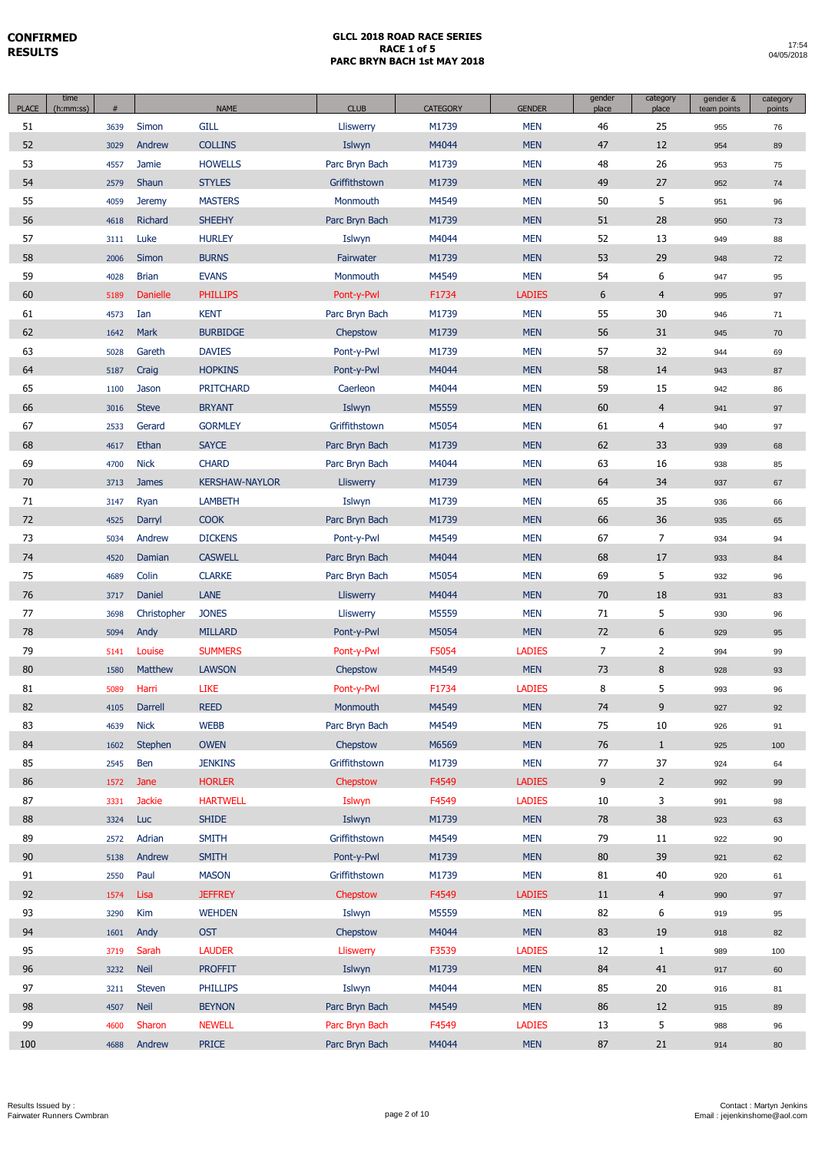| <b>PLACE</b> | time<br>(h:mm:ss) | #    |                 | <b>NAME</b>           | <b>CLUB</b>    | <b>CATEGORY</b> | <b>GENDER</b> | gender<br>place | category<br>place | gender &<br>team points | category<br>points |
|--------------|-------------------|------|-----------------|-----------------------|----------------|-----------------|---------------|-----------------|-------------------|-------------------------|--------------------|
| 51           |                   | 3639 | Simon           | <b>GILL</b>           | Lliswerry      | M1739           | <b>MEN</b>    | 46              | 25                | 955                     | 76                 |
| 52           |                   | 3029 | Andrew          | <b>COLLINS</b>        | Islwyn         | M4044           | <b>MEN</b>    | 47              | 12                | 954                     | 89                 |
| 53           |                   | 4557 | Jamie           | <b>HOWELLS</b>        | Parc Bryn Bach | M1739           | <b>MEN</b>    | 48              | 26                | 953                     | 75                 |
| 54           |                   | 2579 | Shaun           | <b>STYLES</b>         | Griffithstown  | M1739           | <b>MEN</b>    | 49              | 27                | 952                     | 74                 |
| 55           |                   | 4059 | <b>Jeremy</b>   | <b>MASTERS</b>        | Monmouth       | M4549           | <b>MEN</b>    | 50              | 5                 | 951                     | 96                 |
| 56           |                   | 4618 | Richard         | <b>SHEEHY</b>         | Parc Bryn Bach | M1739           | <b>MEN</b>    | 51              | 28                | 950                     | 73                 |
| 57           |                   | 3111 | Luke            | <b>HURLEY</b>         | Islwyn         | M4044           | <b>MEN</b>    | 52              | 13                | 949                     | 88                 |
| 58           |                   | 2006 | Simon           | <b>BURNS</b>          | Fairwater      | M1739           | <b>MEN</b>    | 53              | 29                | 948                     | 72                 |
| 59           |                   | 4028 | <b>Brian</b>    | <b>EVANS</b>          | Monmouth       | M4549           | <b>MEN</b>    | 54              | 6                 | 947                     | 95                 |
| 60           |                   | 5189 | <b>Danielle</b> | <b>PHILLIPS</b>       | Pont-y-Pwl     | F1734           | <b>LADIES</b> | 6               | $\overline{4}$    | 995                     | 97                 |
| 61           |                   | 4573 | Ian             | <b>KENT</b>           | Parc Bryn Bach | M1739           | <b>MEN</b>    | 55              | 30                | 946                     | 71                 |
| 62           |                   | 1642 | Mark            | <b>BURBIDGE</b>       | Chepstow       | M1739           | <b>MEN</b>    | 56              | 31                | 945                     | 70                 |
| 63           |                   | 5028 | Gareth          | <b>DAVIES</b>         | Pont-y-Pwl     | M1739           | <b>MEN</b>    | 57              | 32                | 944                     | 69                 |
| 64           |                   | 5187 | Craig           | <b>HOPKINS</b>        | Pont-y-Pwl     | M4044           | <b>MEN</b>    | 58              | 14                | 943                     | 87                 |
| 65           |                   | 1100 | Jason           | <b>PRITCHARD</b>      | Caerleon       | M4044           | <b>MEN</b>    | 59              | 15                | 942                     | 86                 |
| 66           |                   | 3016 | <b>Steve</b>    | <b>BRYANT</b>         | Islwyn         | M5559           | <b>MEN</b>    | 60              | $\overline{4}$    | 941                     | 97                 |
| 67           |                   | 2533 | Gerard          | <b>GORMLEY</b>        | Griffithstown  | M5054           | <b>MEN</b>    | 61              | $\overline{4}$    | 940                     | 97                 |
| 68           |                   | 4617 | Ethan           | <b>SAYCE</b>          | Parc Bryn Bach | M1739           | <b>MEN</b>    | 62              | 33                | 939                     | 68                 |
| 69           |                   | 4700 | <b>Nick</b>     | <b>CHARD</b>          | Parc Bryn Bach | M4044           | <b>MEN</b>    | 63              | 16                | 938                     | 85                 |
| 70           |                   | 3713 | <b>James</b>    | <b>KERSHAW-NAYLOR</b> | Lliswerry      | M1739           | <b>MEN</b>    | 64              | 34                | 937                     | 67                 |
| 71           |                   | 3147 | Ryan            | <b>LAMBETH</b>        | Islwyn         | M1739           | <b>MEN</b>    | 65              | 35                | 936                     | 66                 |
| 72           |                   | 4525 | Darryl          | <b>COOK</b>           | Parc Bryn Bach | M1739           | <b>MEN</b>    | 66              | 36                | 935                     | 65                 |
| 73           |                   | 5034 | Andrew          | <b>DICKENS</b>        | Pont-y-Pwl     | M4549           | <b>MEN</b>    | 67              | 7                 | 934                     | 94                 |
| 74           |                   | 4520 | Damian          | <b>CASWELL</b>        | Parc Bryn Bach | M4044           | <b>MEN</b>    | 68              | 17                | 933                     | 84                 |
| 75           |                   | 4689 | Colin           | <b>CLARKE</b>         | Parc Bryn Bach | M5054           | <b>MEN</b>    | 69              | 5                 | 932                     | 96                 |
| 76           |                   | 3717 | Daniel          | <b>LANE</b>           | Lliswerry      | M4044           | <b>MEN</b>    | 70              | 18                | 931                     | 83                 |
| 77           |                   | 3698 | Christopher     | <b>JONES</b>          | Lliswerry      | M5559           | <b>MEN</b>    | 71              | 5                 | 930                     | 96                 |
| 78           |                   | 5094 | Andy            | <b>MILLARD</b>        | Pont-y-Pwl     | M5054           | <b>MEN</b>    | 72              | 6                 | 929                     | 95                 |
| 79           |                   | 5141 | Louise          | <b>SUMMERS</b>        | Pont-y-Pwl     | F5054           | <b>LADIES</b> | 7               | $\overline{2}$    | 994                     | 99                 |
| 80           |                   | 1580 | <b>Matthew</b>  | <b>LAWSON</b>         | Chepstow       | M4549           | <b>MEN</b>    | 73              | 8                 | 928                     | 93                 |
| 81           |                   | 5089 | Harri           | <b>LIKE</b>           | Pont-y-Pwl     | F1734           | <b>LADIES</b> | 8               | 5                 | 993                     | 96                 |
| 82           |                   | 4105 | Darrell         | <b>REED</b>           | Monmouth       | M4549           | <b>MEN</b>    | $74\,$          | 9                 | 927                     | 92                 |
| 83           |                   | 4639 | <b>Nick</b>     | <b>WEBB</b>           | Parc Bryn Bach | M4549           | <b>MEN</b>    | 75              | 10                | 926                     | 91                 |
| 84           |                   | 1602 | Stephen         | <b>OWEN</b>           | Chepstow       | M6569           | <b>MEN</b>    | 76              | $\mathbf{1}$      | 925                     | 100                |
| 85           |                   | 2545 | Ben             | <b>JENKINS</b>        | Griffithstown  | M1739           | <b>MEN</b>    | 77              | 37                | 924                     | 64                 |
| 86           |                   | 1572 | Jane            | <b>HORLER</b>         | Chepstow       | F4549           | <b>LADIES</b> | 9               | $2^{\circ}$       | 992                     | 99                 |
| 87           |                   | 3331 | <b>Jackie</b>   | <b>HARTWELL</b>       | Islwyn         | F4549           | <b>LADIES</b> | 10              | 3                 | 991                     | 98                 |
| 88           |                   | 3324 | Luc             | <b>SHIDE</b>          | Islwyn         | M1739           | <b>MEN</b>    | 78              | 38                | 923                     | 63                 |
| 89           |                   | 2572 | Adrian          | <b>SMITH</b>          | Griffithstown  | M4549           | <b>MEN</b>    | 79              | 11                | 922                     | 90                 |
| 90           |                   | 5138 | Andrew          | <b>SMITH</b>          | Pont-y-Pwl     | M1739           | <b>MEN</b>    | 80              | 39                | 921                     | 62                 |
| 91           |                   | 2550 | Paul            | <b>MASON</b>          | Griffithstown  | M1739           | <b>MEN</b>    | 81              | 40                | 920                     | 61                 |
| 92           |                   | 1574 | Lisa            | <b>JEFFREY</b>        | Chepstow       | F4549           | <b>LADIES</b> | 11              | $\overline{4}$    | 990                     | 97                 |
| 93           |                   | 3290 | Kim             | <b>WEHDEN</b>         | Islwyn         | M5559           | <b>MEN</b>    | 82              | 6                 | 919                     | 95                 |
| 94           |                   | 1601 | Andy            | <b>OST</b>            | Chepstow       | M4044           | <b>MEN</b>    | 83              | 19                | 918                     | 82                 |
| 95           |                   | 3719 | Sarah           | <b>LAUDER</b>         | Lliswerry      | F3539           | <b>LADIES</b> | 12              | $\mathbf{1}$      | 989                     | 100                |
| 96           |                   | 3232 | <b>Neil</b>     | <b>PROFFIT</b>        | Islwyn         | M1739           | <b>MEN</b>    | 84              | 41                | 917                     | 60                 |
| 97           |                   | 3211 | Steven          | <b>PHILLIPS</b>       | Islwyn         | M4044           | <b>MEN</b>    | 85              | 20                | 916                     | 81                 |
| 98           |                   | 4507 | <b>Neil</b>     | <b>BEYNON</b>         | Parc Bryn Bach | M4549           | <b>MEN</b>    | 86              | 12                | 915                     | 89                 |
| 99           |                   | 4600 | Sharon          | <b>NEWELL</b>         | Parc Bryn Bach | F4549           | <b>LADIES</b> | 13              | 5                 | 988                     | 96                 |
| 100          |                   | 4688 | Andrew          | <b>PRICE</b>          | Parc Bryn Bach | M4044           | <b>MEN</b>    | 87              | 21                | 914                     | 80                 |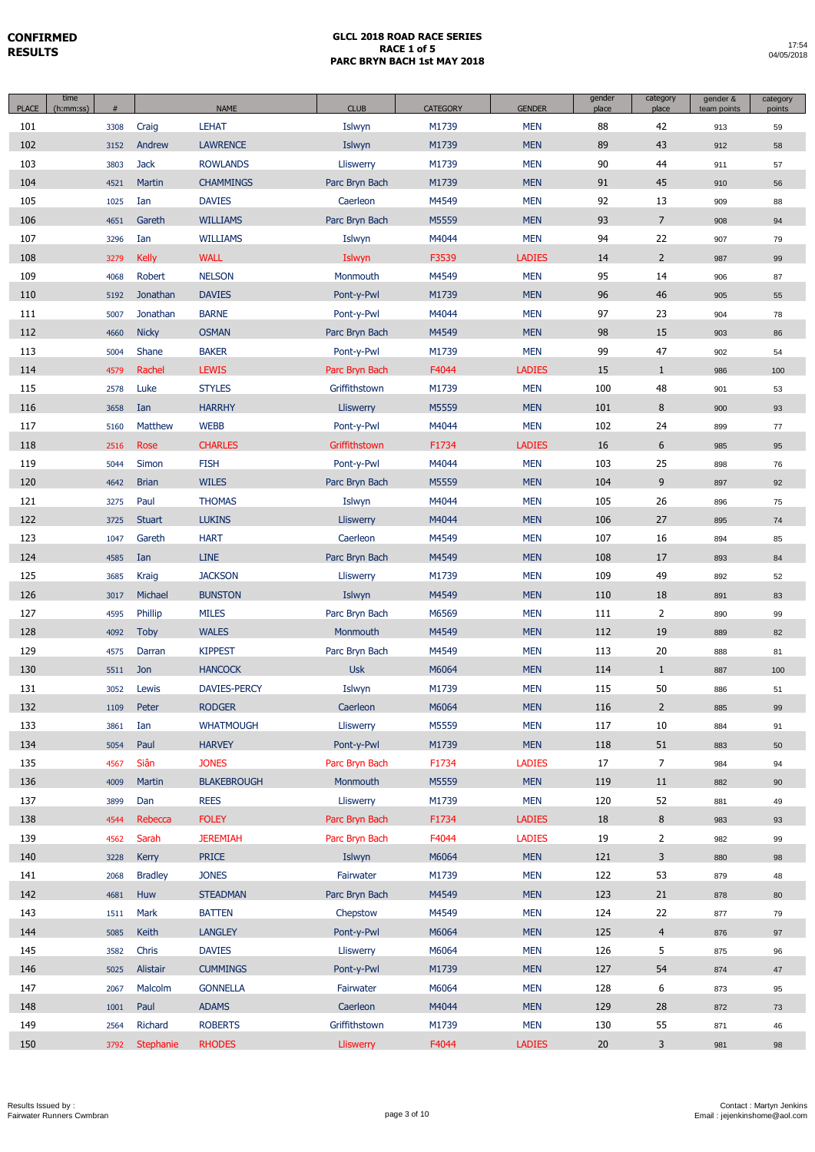| <b>PLACE</b> | time<br>(h:mm:ss) | #    |                | <b>NAME</b>         | <b>CLUB</b>      | <b>CATEGORY</b> | <b>GENDER</b> | gender<br>place | category<br>place | gender &<br>team points | category<br>points |
|--------------|-------------------|------|----------------|---------------------|------------------|-----------------|---------------|-----------------|-------------------|-------------------------|--------------------|
| 101          |                   | 3308 | Craig          | <b>LEHAT</b>        | Islwyn           | M1739           | <b>MEN</b>    | 88              | 42                | 913                     | 59                 |
| 102          |                   | 3152 | Andrew         | <b>LAWRENCE</b>     | Islwyn           | M1739           | <b>MEN</b>    | 89              | 43                | 912                     | 58                 |
| 103          |                   | 3803 | <b>Jack</b>    | <b>ROWLANDS</b>     | Lliswerry        | M1739           | <b>MEN</b>    | 90              | 44                | 911                     | 57                 |
| 104          |                   | 4521 | Martin         | <b>CHAMMINGS</b>    | Parc Bryn Bach   | M1739           | <b>MEN</b>    | 91              | 45                | 910                     | 56                 |
| 105          |                   | 1025 | Ian            | <b>DAVIES</b>       | Caerleon         | M4549           | <b>MEN</b>    | 92              | 13                | 909                     | 88                 |
| 106          |                   | 4651 | Gareth         | <b>WILLIAMS</b>     | Parc Bryn Bach   | M5559           | <b>MEN</b>    | 93              | $\overline{7}$    | 908                     | 94                 |
| 107          |                   | 3296 | Ian            | <b>WILLIAMS</b>     | Islwyn           | M4044           | <b>MEN</b>    | 94              | 22                | 907                     | 79                 |
| 108          |                   | 3279 | <b>Kelly</b>   | <b>WALL</b>         | Islwyn           | F3539           | <b>LADIES</b> | 14              | $2^{\circ}$       | 987                     | 99                 |
| 109          |                   | 4068 | Robert         | <b>NELSON</b>       | Monmouth         | M4549           | <b>MEN</b>    | 95              | 14                | 906                     | 87                 |
| 110          |                   | 5192 | Jonathan       | <b>DAVIES</b>       | Pont-y-Pwl       | M1739           | <b>MEN</b>    | 96              | 46                | 905                     | 55                 |
| 111          |                   | 5007 | Jonathan       | <b>BARNE</b>        | Pont-y-Pwl       | M4044           | <b>MEN</b>    | 97              | 23                | 904                     | 78                 |
| 112          |                   | 4660 | <b>Nicky</b>   | <b>OSMAN</b>        | Parc Bryn Bach   | M4549           | <b>MEN</b>    | 98              | 15                | 903                     | 86                 |
| 113          |                   | 5004 | Shane          | <b>BAKER</b>        | Pont-y-Pwl       | M1739           | <b>MEN</b>    | 99              | 47                | 902                     | 54                 |
| 114          |                   | 4579 | Rachel         | <b>LEWIS</b>        | Parc Bryn Bach   | F4044           | <b>LADIES</b> | 15              | $\mathbf{1}$      | 986                     | 100                |
| 115          |                   | 2578 | Luke           | <b>STYLES</b>       | Griffithstown    | M1739           | <b>MEN</b>    | 100             | 48                | 901                     | 53                 |
| 116          |                   | 3658 | Ian            | <b>HARRHY</b>       | Lliswerry        | M5559           | <b>MEN</b>    | 101             | 8                 | 900                     | 93                 |
| 117          |                   | 5160 | <b>Matthew</b> | <b>WEBB</b>         | Pont-y-Pwl       | M4044           | <b>MEN</b>    | 102             | 24                | 899                     | 77                 |
| 118          |                   | 2516 | Rose           | <b>CHARLES</b>      | Griffithstown    | F1734           | <b>LADIES</b> | 16              | 6                 | 985                     | 95                 |
| 119          |                   | 5044 | Simon          | <b>FISH</b>         | Pont-y-Pwl       | M4044           | <b>MEN</b>    | 103             | 25                | 898                     | 76                 |
| 120          |                   | 4642 | <b>Brian</b>   | <b>WILES</b>        | Parc Bryn Bach   | M5559           | <b>MEN</b>    | 104             | 9                 | 897                     | 92                 |
| 121          |                   | 3275 | Paul           | <b>THOMAS</b>       | Islwyn           | M4044           | <b>MEN</b>    | 105             | 26                | 896                     | 75                 |
| 122          |                   | 3725 | <b>Stuart</b>  | <b>LUKINS</b>       | Lliswerry        | M4044           | <b>MEN</b>    | 106             | 27                | 895                     | 74                 |
| 123          |                   | 1047 | Gareth         | <b>HART</b>         | Caerleon         | M4549           | <b>MEN</b>    | 107             | 16                | 894                     | 85                 |
| 124          |                   | 4585 | Ian            | <b>LINE</b>         | Parc Bryn Bach   | M4549           | <b>MEN</b>    | 108             | 17                | 893                     | 84                 |
| 125          |                   | 3685 | Kraig          | <b>JACKSON</b>      | Lliswerry        | M1739           | <b>MEN</b>    | 109             | 49                | 892                     | 52                 |
| 126          |                   | 3017 | Michael        | <b>BUNSTON</b>      | Islwyn           | M4549           | <b>MEN</b>    | 110             | 18                | 891                     | 83                 |
| 127          |                   | 4595 | Phillip        | <b>MILES</b>        | Parc Bryn Bach   | M6569           | <b>MEN</b>    | 111             | $\overline{2}$    | 890                     | 99                 |
| 128          |                   | 4092 | <b>Toby</b>    | <b>WALES</b>        | Monmouth         | M4549           | <b>MEN</b>    | 112             | 19                | 889                     | 82                 |
| 129          |                   | 4575 | Darran         | <b>KIPPEST</b>      | Parc Bryn Bach   | M4549           | <b>MEN</b>    | 113             | 20                | 888                     | 81                 |
| 130          |                   | 5511 | Jon            | <b>HANCOCK</b>      | <b>Usk</b>       | M6064           | <b>MEN</b>    | 114             | $\mathbf{1}$      | 887                     | 100                |
| 131          |                   | 3052 | Lewis          | <b>DAVIES-PERCY</b> | Islwyn           | M1739           | <b>MEN</b>    | 115             | 50                | 886                     | 51                 |
| 132          |                   | 1109 | Peter          | <b>RODGER</b>       | Caerleon         | M6064           | <b>MEN</b>    | 116             | $\overline{2}$    | 885                     | 99                 |
| 133          |                   | 3861 | Ian            | <b>WHATMOUGH</b>    | Lliswerry        | M5559           | <b>MEN</b>    | 117             | 10                | 884                     | 91                 |
| 134          |                   | 5054 | Paul           | <b>HARVEY</b>       | Pont-y-Pwl       | M1739           | <b>MEN</b>    | 118             | 51                | 883                     | 50                 |
| 135          |                   | 4567 | Siân           | <b>JONES</b>        | Parc Bryn Bach   | F1734           | <b>LADIES</b> | 17              | $\overline{7}$    | 984                     | 94                 |
| 136          |                   | 4009 | Martin         | <b>BLAKEBROUGH</b>  | Monmouth         | M5559           | <b>MEN</b>    | 119             | 11                | 882                     | 90                 |
| 137          |                   | 3899 | Dan            | <b>REES</b>         | Lliswerry        | M1739           | <b>MEN</b>    | 120             | 52                | 881                     | 49                 |
| 138          |                   | 4544 | Rebecca        | <b>FOLEY</b>        | Parc Bryn Bach   | F1734           | <b>LADIES</b> | 18              | 8                 | 983                     | 93                 |
| 139          |                   | 4562 | Sarah          | <b>JEREMIAH</b>     | Parc Bryn Bach   | F4044           | <b>LADIES</b> | 19              | $\overline{2}$    | 982                     | 99                 |
| 140          |                   | 3228 | Kerry          | <b>PRICE</b>        | Islwyn           | M6064           | <b>MEN</b>    | 121             | 3                 | 880                     | 98                 |
| 141          |                   | 2068 | <b>Bradley</b> | <b>JONES</b>        | Fairwater        | M1739           | <b>MEN</b>    | 122             | 53                | 879                     | 48                 |
| 142          |                   | 4681 | Huw            | <b>STEADMAN</b>     | Parc Bryn Bach   | M4549           | <b>MEN</b>    | 123             | 21                | 878                     | 80                 |
| 143          |                   | 1511 | Mark           | <b>BATTEN</b>       | Chepstow         | M4549           | <b>MEN</b>    | 124             | 22                | 877                     | 79                 |
| 144          |                   | 5085 | Keith          | <b>LANGLEY</b>      | Pont-y-Pwl       | M6064           | <b>MEN</b>    | 125             | $\overline{4}$    | 876                     | 97                 |
| 145          |                   | 3582 | Chris          | <b>DAVIES</b>       | Lliswerry        | M6064           | <b>MEN</b>    | 126             | 5                 | 875                     | 96                 |
| 146          |                   | 5025 | Alistair       | <b>CUMMINGS</b>     | Pont-y-Pwl       | M1739           | <b>MEN</b>    | 127             | 54                | 874                     | 47                 |
| 147          |                   | 2067 | Malcolm        | <b>GONNELLA</b>     | Fairwater        | M6064           | <b>MEN</b>    | 128             | 6                 | 873                     | 95                 |
| 148          |                   | 1001 | Paul           | <b>ADAMS</b>        | Caerleon         | M4044           | <b>MEN</b>    | 129             | 28                | 872                     | 73                 |
| 149          |                   | 2564 | Richard        | <b>ROBERTS</b>      | Griffithstown    | M1739           | <b>MEN</b>    | 130             | 55                | 871                     | 46                 |
| 150          |                   | 3792 | Stephanie      | <b>RHODES</b>       | <b>Lliswerry</b> | F4044           | <b>LADIES</b> | 20              | 3                 | 981                     | 98                 |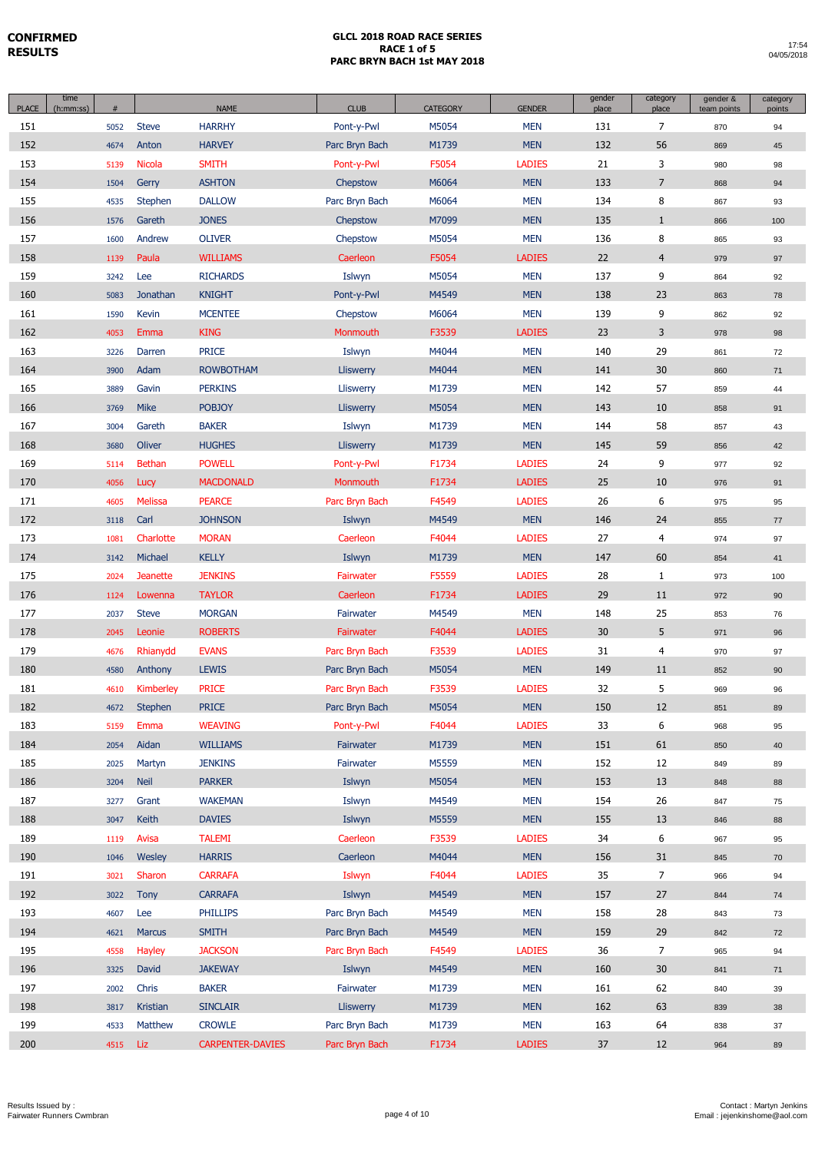| <b>PLACE</b> | time<br>(h:mm:ss) | #    |                 | <b>NAME</b>             | <b>CLUB</b>      | <b>CATEGORY</b> | <b>GENDER</b> | gender<br>place | category<br>place | gender &<br>team points | category<br>points |
|--------------|-------------------|------|-----------------|-------------------------|------------------|-----------------|---------------|-----------------|-------------------|-------------------------|--------------------|
| 151          |                   | 5052 | <b>Steve</b>    | <b>HARRHY</b>           | Pont-y-Pwl       | M5054           | <b>MEN</b>    | 131             | $\overline{7}$    | 870                     | 94                 |
| 152          |                   | 4674 | Anton           | <b>HARVEY</b>           | Parc Bryn Bach   | M1739           | <b>MEN</b>    | 132             | 56                | 869                     | 45                 |
| 153          |                   | 5139 | <b>Nicola</b>   | <b>SMITH</b>            | Pont-y-Pwl       | F5054           | <b>LADIES</b> | 21              | 3                 | 980                     | 98                 |
| 154          |                   | 1504 | Gerry           | <b>ASHTON</b>           | Chepstow         | M6064           | <b>MEN</b>    | 133             | $\overline{7}$    | 868                     | 94                 |
| 155          |                   | 4535 | Stephen         | <b>DALLOW</b>           | Parc Bryn Bach   | M6064           | <b>MEN</b>    | 134             | 8                 | 867                     | 93                 |
| 156          |                   | 1576 | Gareth          | <b>JONES</b>            | Chepstow         | M7099           | <b>MEN</b>    | 135             | $\mathbf{1}$      | 866                     | 100                |
| 157          |                   | 1600 | Andrew          | <b>OLIVER</b>           | Chepstow         | M5054           | <b>MEN</b>    | 136             | 8                 | 865                     | 93                 |
| 158          |                   | 1139 | Paula           | <b>WILLIAMS</b>         | Caerleon         | F5054           | <b>LADIES</b> | 22              | $\overline{4}$    | 979                     | 97                 |
| 159          |                   | 3242 | Lee             | <b>RICHARDS</b>         | Islwyn           | M5054           | <b>MEN</b>    | 137             | 9                 | 864                     | 92                 |
| 160          |                   | 5083 | Jonathan        | <b>KNIGHT</b>           | Pont-y-Pwl       | M4549           | <b>MEN</b>    | 138             | 23                | 863                     | 78                 |
| 161          |                   | 1590 | Kevin           | <b>MCENTEE</b>          | Chepstow         | M6064           | <b>MEN</b>    | 139             | 9                 | 862                     | 92                 |
| 162          |                   | 4053 | Emma            | <b>KING</b>             | <b>Monmouth</b>  | F3539           | <b>LADIES</b> | 23              | 3                 | 978                     | 98                 |
| 163          |                   | 3226 | Darren          | <b>PRICE</b>            | Islwyn           | M4044           | <b>MEN</b>    | 140             | 29                | 861                     | 72                 |
| 164          |                   | 3900 | Adam            | <b>ROWBOTHAM</b>        | <b>Lliswerry</b> | M4044           | <b>MEN</b>    | 141             | 30                | 860                     | 71                 |
| 165          |                   | 3889 | Gavin           | <b>PERKINS</b>          | Lliswerry        | M1739           | <b>MEN</b>    | 142             | 57                | 859                     | 44                 |
| 166          |                   | 3769 | <b>Mike</b>     | <b>POBJOY</b>           | <b>Lliswerry</b> | M5054           | <b>MEN</b>    | 143             | 10                | 858                     | 91                 |
| 167          |                   | 3004 | Gareth          | <b>BAKER</b>            | Islwyn           | M1739           | <b>MEN</b>    | 144             | 58                | 857                     | 43                 |
| 168          |                   | 3680 | Oliver          | <b>HUGHES</b>           | <b>Lliswerry</b> | M1739           | <b>MEN</b>    | 145             | 59                | 856                     | 42                 |
| 169          |                   | 5114 | <b>Bethan</b>   | <b>POWELL</b>           | Pont-y-Pwl       | F1734           | <b>LADIES</b> | 24              | 9                 | 977                     | 92                 |
| 170          |                   | 4056 | Lucy            | <b>MACDONALD</b>        | Monmouth         | F1734           | <b>LADIES</b> | 25              | 10                | 976                     | 91                 |
| 171          |                   | 4605 | <b>Melissa</b>  | <b>PEARCE</b>           | Parc Bryn Bach   | F4549           | <b>LADIES</b> | 26              | 6                 | 975                     | 95                 |
| 172          |                   | 3118 | Carl            | <b>JOHNSON</b>          | Islwyn           | M4549           | <b>MEN</b>    | 146             | 24                | 855                     | 77                 |
| 173          |                   | 1081 | Charlotte       | <b>MORAN</b>            | Caerleon         | F4044           | <b>LADIES</b> | 27              | 4                 | 974                     | 97                 |
| 174          |                   | 3142 | Michael         | <b>KELLY</b>            | Islwyn           | M1739           | <b>MEN</b>    | 147             | 60                | 854                     | 41                 |
| 175          |                   | 2024 | <b>Jeanette</b> | <b>JENKINS</b>          | Fairwater        | F5559           | <b>LADIES</b> | 28              | $\mathbf{1}$      | 973                     | 100                |
| 176          |                   | 1124 | Lowenna         | <b>TAYLOR</b>           | Caerleon         | F1734           | <b>LADIES</b> | 29              | 11                | 972                     | 90                 |
| 177          |                   | 2037 | <b>Steve</b>    | <b>MORGAN</b>           | Fairwater        | M4549           | <b>MEN</b>    | 148             | 25                | 853                     | 76                 |
| 178          |                   | 2045 | Leonie          | <b>ROBERTS</b>          | Fairwater        | F4044           | <b>LADIES</b> | 30              | 5                 | 971                     | 96                 |
| 179          |                   | 4676 | Rhianydd        | <b>EVANS</b>            | Parc Bryn Bach   | F3539           | <b>LADIES</b> | 31              | 4                 | 970                     | 97                 |
| 180          |                   | 4580 | Anthony         | <b>LEWIS</b>            | Parc Bryn Bach   | M5054           | <b>MEN</b>    | 149             | 11                | 852                     | 90                 |
| 181          |                   | 4610 | Kimberley       | <b>PRICE</b>            | Parc Bryn Bach   | F3539           | <b>LADIES</b> | 32              | 5                 | 969                     | 96                 |
| 182          |                   | 4672 | Stephen         | PRICE                   | Parc Bryn Bach   | M5054           | <b>MEN</b>    | 150             | 12                | 851                     | 89                 |
| 183          |                   | 5159 | Emma            | <b>WEAVING</b>          | Pont-y-Pwl       | F4044           | <b>LADIES</b> | 33              | 6                 | 968                     | 95                 |
| 184          |                   | 2054 | Aidan           | <b>WILLIAMS</b>         | Fairwater        | M1739           | <b>MEN</b>    | 151             | 61                | 850                     | 40                 |
| 185          |                   | 2025 | Martyn          | <b>JENKINS</b>          | Fairwater        | M5559           | <b>MEN</b>    | 152             | 12                | 849                     | 89                 |
| 186          |                   | 3204 | <b>Neil</b>     | <b>PARKER</b>           | Islwyn           | M5054           | <b>MEN</b>    | 153             | 13                | 848                     | 88                 |
| 187          |                   | 3277 | Grant           | <b>WAKEMAN</b>          | Islwyn           | M4549           | <b>MEN</b>    | 154             | 26                | 847                     | 75                 |
| 188          |                   | 3047 | Keith           | <b>DAVIES</b>           | Islwyn           | M5559           | <b>MEN</b>    | 155             | 13                | 846                     | 88                 |
| 189          |                   | 1119 | Avisa           | <b>TALEMI</b>           | Caerleon         | F3539           | <b>LADIES</b> | 34              | 6                 | 967                     | 95                 |
| 190          |                   | 1046 | Wesley          | <b>HARRIS</b>           | Caerleon         | M4044           | <b>MEN</b>    | 156             | 31                | 845                     | 70                 |
| 191          |                   | 3021 | Sharon          | <b>CARRAFA</b>          | Islwyn           | F4044           | <b>LADIES</b> | 35              | $\overline{7}$    | 966                     | 94                 |
| 192          |                   | 3022 | <b>Tony</b>     | <b>CARRAFA</b>          | Islwyn           | M4549           | <b>MEN</b>    | 157             | 27                | 844                     | 74                 |
| 193          |                   | 4607 | Lee             | <b>PHILLIPS</b>         | Parc Bryn Bach   | M4549           | <b>MEN</b>    | 158             | 28                | 843                     | 73                 |
| 194          |                   | 4621 | <b>Marcus</b>   | <b>SMITH</b>            | Parc Bryn Bach   | M4549           | <b>MEN</b>    | 159             | 29                | 842                     | 72                 |
| 195          |                   | 4558 | Hayley          | <b>JACKSON</b>          | Parc Bryn Bach   | F4549           | <b>LADIES</b> | 36              | $\overline{7}$    | 965                     | 94                 |
| 196          |                   | 3325 | David           | <b>JAKEWAY</b>          | Islwyn           | M4549           | <b>MEN</b>    | 160             | 30                | 841                     | 71                 |
| 197          |                   | 2002 | Chris           | <b>BAKER</b>            | Fairwater        | M1739           | <b>MEN</b>    | 161             | 62                | 840                     | 39                 |
| 198          |                   | 3817 | Kristian        | <b>SINCLAIR</b>         | Lliswerry        | M1739           | <b>MEN</b>    | 162             | 63                | 839                     | 38                 |
| 199          |                   | 4533 | Matthew         | <b>CROWLE</b>           | Parc Bryn Bach   | M1739           | <b>MEN</b>    | 163             | 64                | 838                     | 37                 |
| 200          |                   | 4515 | Liz             | <b>CARPENTER-DAVIES</b> | Parc Bryn Bach   | F1734           | <b>LADIES</b> | 37              | 12                | 964                     | 89                 |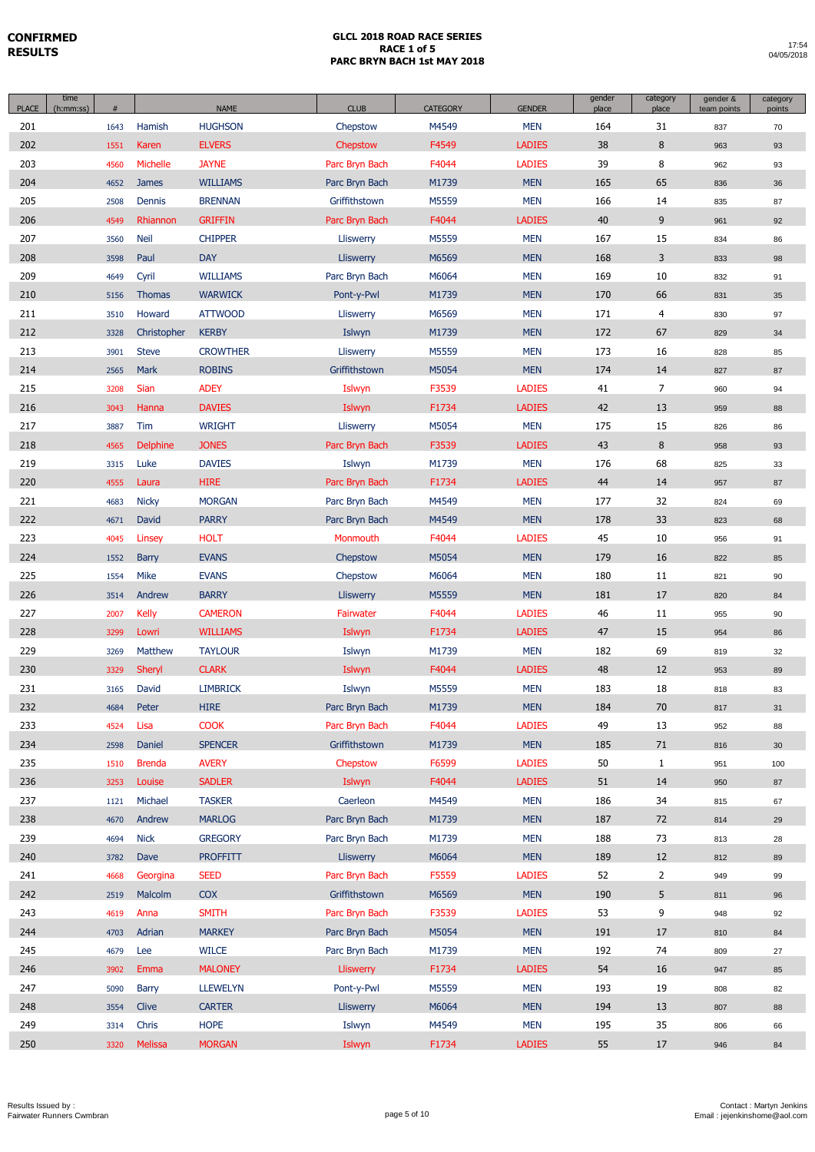| <b>PLACE</b> | time<br>(h:mm:ss) | #    |                 | <b>NAME</b>     | <b>CLUB</b>      | <b>CATEGORY</b> | <b>GENDER</b> | gender<br>place | category<br>place | gender &<br>team points | category<br>points |
|--------------|-------------------|------|-----------------|-----------------|------------------|-----------------|---------------|-----------------|-------------------|-------------------------|--------------------|
| 201          |                   | 1643 | Hamish          | <b>HUGHSON</b>  | Chepstow         | M4549           | <b>MEN</b>    | 164             | 31                | 837                     | 70                 |
| 202          |                   | 1551 | Karen           | <b>ELVERS</b>   | Chepstow         | F4549           | <b>LADIES</b> | 38              | 8                 | 963                     | 93                 |
| 203          |                   | 4560 | Michelle        | <b>JAYNE</b>    | Parc Bryn Bach   | F4044           | <b>LADIES</b> | 39              | 8                 | 962                     | 93                 |
| 204          |                   | 4652 | <b>James</b>    | <b>WILLIAMS</b> | Parc Bryn Bach   | M1739           | <b>MEN</b>    | 165             | 65                | 836                     | 36                 |
| 205          |                   | 2508 | Dennis          | <b>BRENNAN</b>  | Griffithstown    | M5559           | <b>MEN</b>    | 166             | 14                | 835                     | 87                 |
| 206          |                   | 4549 | Rhiannon        | <b>GRIFFIN</b>  | Parc Bryn Bach   | F4044           | <b>LADIES</b> | 40              | 9                 | 961                     | 92                 |
| 207          |                   | 3560 | Neil            | <b>CHIPPER</b>  | Lliswerry        | M5559           | <b>MEN</b>    | 167             | 15                | 834                     | 86                 |
| 208          |                   | 3598 | Paul            | <b>DAY</b>      | <b>Lliswerry</b> | M6569           | <b>MEN</b>    | 168             | 3                 | 833                     | 98                 |
| 209          |                   | 4649 | Cyril           | <b>WILLIAMS</b> | Parc Bryn Bach   | M6064           | <b>MEN</b>    | 169             | 10                | 832                     | 91                 |
| 210          |                   | 5156 | <b>Thomas</b>   | <b>WARWICK</b>  | Pont-y-Pwl       | M1739           | <b>MEN</b>    | 170             | 66                | 831                     | 35                 |
| 211          |                   | 3510 | Howard          | <b>ATTWOOD</b>  | Lliswerry        | M6569           | <b>MEN</b>    | 171             | 4                 | 830                     | 97                 |
| 212          |                   | 3328 | Christopher     | <b>KERBY</b>    | Islwyn           | M1739           | <b>MEN</b>    | 172             | 67                | 829                     | 34                 |
| 213          |                   | 3901 | <b>Steve</b>    | <b>CROWTHER</b> | Lliswerry        | M5559           | <b>MEN</b>    | 173             | 16                | 828                     | 85                 |
| 214          |                   | 2565 | Mark            | <b>ROBINS</b>   | Griffithstown    | M5054           | <b>MEN</b>    | 174             | 14                | 827                     | 87                 |
| 215          |                   | 3208 | Sian            | <b>ADEY</b>     | Islwyn           | F3539           | <b>LADIES</b> | 41              | $\overline{7}$    | 960                     | 94                 |
| 216          |                   | 3043 | Hanna           | <b>DAVIES</b>   | Islwyn           | F1734           | <b>LADIES</b> | 42              | 13                | 959                     | 88                 |
| 217          |                   | 3887 | Tim             | <b>WRIGHT</b>   | Lliswerry        | M5054           | <b>MEN</b>    | 175             | 15                | 826                     | 86                 |
| 218          |                   | 4565 | <b>Delphine</b> | <b>JONES</b>    | Parc Bryn Bach   | F3539           | <b>LADIES</b> | 43              | 8                 | 958                     | 93                 |
| 219          |                   | 3315 | Luke            | <b>DAVIES</b>   | Islwyn           | M1739           | <b>MEN</b>    | 176             | 68                | 825                     | 33                 |
| 220          |                   | 4555 | Laura           | <b>HIRE</b>     | Parc Bryn Bach   | F1734           | <b>LADIES</b> | 44              | 14                | 957                     | 87                 |
| 221          |                   | 4683 | <b>Nicky</b>    | <b>MORGAN</b>   | Parc Bryn Bach   | M4549           | <b>MEN</b>    | 177             | 32                | 824                     | 69                 |
| 222          |                   | 4671 | David           | <b>PARRY</b>    | Parc Bryn Bach   | M4549           | <b>MEN</b>    | 178             | 33                | 823                     | 68                 |
| 223          |                   | 4045 | Linsey          | <b>HOLT</b>     | Monmouth         | F4044           | <b>LADIES</b> | 45              | 10                | 956                     | 91                 |
| 224          |                   | 1552 | Barry           | <b>EVANS</b>    | Chepstow         | M5054           | <b>MEN</b>    | 179             | 16                | 822                     | 85                 |
| 225          |                   | 1554 | <b>Mike</b>     | <b>EVANS</b>    | Chepstow         | M6064           | <b>MEN</b>    | 180             | 11                | 821                     | 90                 |
| 226          |                   | 3514 | Andrew          | <b>BARRY</b>    | <b>Lliswerry</b> | M5559           | <b>MEN</b>    | 181             | 17                | 820                     | 84                 |
| 227          |                   | 2007 | <b>Kelly</b>    | <b>CAMERON</b>  | Fairwater        | F4044           | <b>LADIES</b> | 46              | 11                | 955                     | 90                 |
| 228          |                   | 3299 | Lowri           | <b>WILLIAMS</b> | Islwyn           | F1734           | <b>LADIES</b> | 47              | 15                | 954                     | 86                 |
| 229          |                   | 3269 | <b>Matthew</b>  | <b>TAYLOUR</b>  | Islwyn           | M1739           | <b>MEN</b>    | 182             | 69                | 819                     | 32                 |
| 230          |                   | 3329 | Sheryl          | <b>CLARK</b>    | Islwyn           | F4044           | <b>LADIES</b> | 48              | 12                | 953                     | 89                 |
| 231          |                   | 3165 | David           | <b>LIMBRICK</b> | Islwyn           | M5559           | <b>MEN</b>    | 183             | 18                | 818                     | 83                 |
| 232          |                   | 4684 | Peter           | <b>HIRE</b>     | Parc Bryn Bach   | M1739           | <b>MEN</b>    | 184             | 70                | 817                     | 31                 |
| 233          |                   | 4524 | Lisa            | <b>COOK</b>     | Parc Bryn Bach   | F4044           | <b>LADIES</b> | 49              | 13                | 952                     | 88                 |
| 234          |                   | 2598 | Daniel          | <b>SPENCER</b>  | Griffithstown    | M1739           | <b>MEN</b>    | 185             | 71                | 816                     | 30 <sup>°</sup>    |
| 235          |                   | 1510 | <b>Brenda</b>   | <b>AVERY</b>    | Chepstow         | F6599           | <b>LADIES</b> | 50              | $\mathbf{1}$      | 951                     | 100                |
| 236          |                   | 3253 | Louise          | <b>SADLER</b>   | Islwyn           | F4044           | <b>LADIES</b> | 51              | 14                | 950                     | 87                 |
| 237          |                   | 1121 | Michael         | <b>TASKER</b>   | Caerleon         | M4549           | <b>MEN</b>    | 186             | 34                | 815                     | 67                 |
| 238          |                   | 4670 | Andrew          | <b>MARLOG</b>   | Parc Bryn Bach   | M1739           | <b>MEN</b>    | 187             | 72                | 814                     | 29                 |
| 239          |                   | 4694 | <b>Nick</b>     | <b>GREGORY</b>  | Parc Bryn Bach   | M1739           | <b>MEN</b>    | 188             | 73                | 813                     | 28                 |
| 240          |                   | 3782 | Dave            | <b>PROFFITT</b> | Lliswerry        | M6064           | <b>MEN</b>    | 189             | 12                | 812                     | 89                 |
| 241          |                   | 4668 | Georgina        | <b>SEED</b>     | Parc Bryn Bach   | F5559           | <b>LADIES</b> | 52              | $\overline{2}$    | 949                     | 99                 |
| 242          |                   | 2519 | Malcolm         | <b>COX</b>      | Griffithstown    | M6569           | <b>MEN</b>    | 190             | 5                 | 811                     | 96                 |
| 243          |                   | 4619 | Anna            | <b>SMITH</b>    | Parc Bryn Bach   | F3539           | <b>LADIES</b> | 53              | 9                 | 948                     | 92                 |
| 244          |                   | 4703 | Adrian          | <b>MARKEY</b>   | Parc Bryn Bach   | M5054           | <b>MEN</b>    | 191             | 17                | 810                     | 84                 |
| 245          |                   | 4679 | Lee             | <b>WILCE</b>    | Parc Bryn Bach   | M1739           | <b>MEN</b>    | 192             | 74                | 809                     | 27                 |
| 246          |                   | 3902 | Emma            | <b>MALONEY</b>  | Lliswerry        | F1734           | <b>LADIES</b> | 54              | 16                | 947                     | 85                 |
| 247          |                   | 5090 | <b>Barry</b>    | <b>LLEWELYN</b> | Pont-y-Pwl       | M5559           | <b>MEN</b>    | 193             | 19                | 808                     | 82                 |
| 248          |                   | 3554 | <b>Clive</b>    | <b>CARTER</b>   | <b>Lliswerry</b> | M6064           | <b>MEN</b>    | 194             | 13                | 807                     | 88                 |
| 249          |                   | 3314 | Chris           | <b>HOPE</b>     | Islwyn           | M4549           | <b>MEN</b>    | 195             | 35                | 806                     | 66                 |
| 250          |                   | 3320 | Melissa         | <b>MORGAN</b>   | Islwyn           | F1734           | <b>LADIES</b> | 55              | 17                | 946                     | 84                 |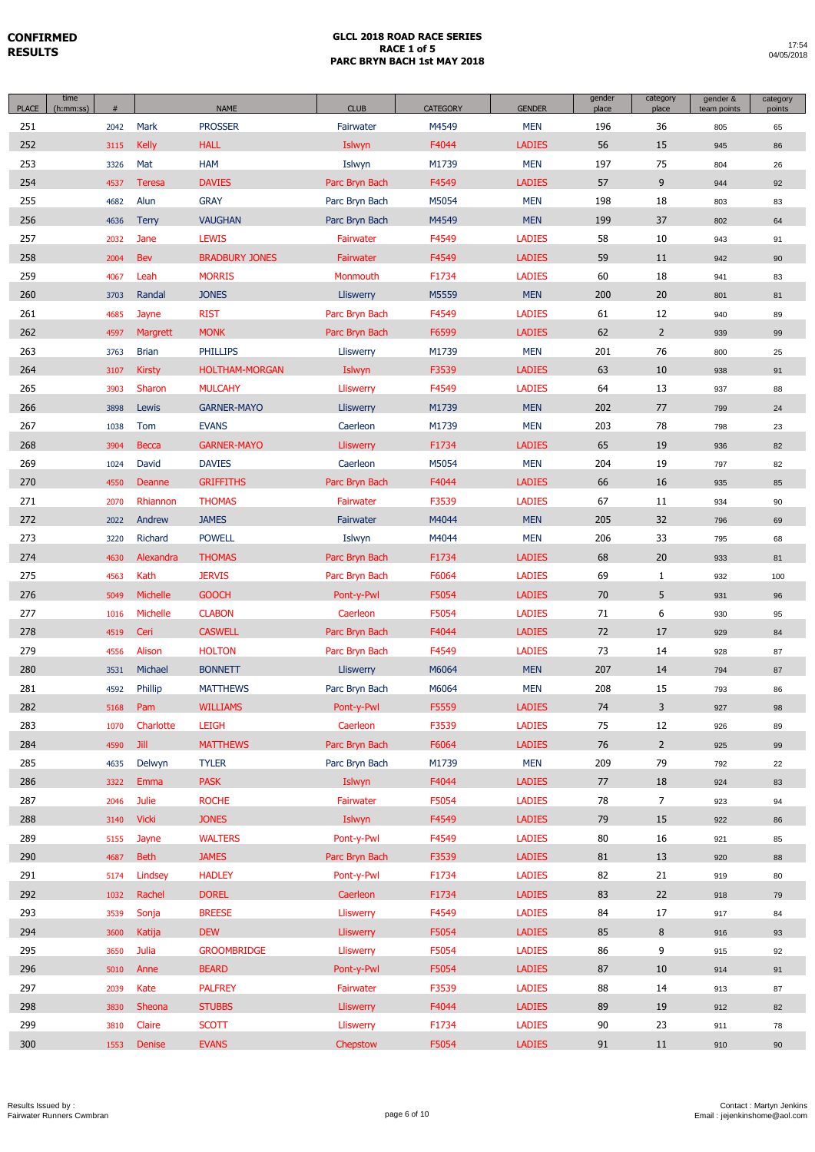| <b>PLACE</b> | time<br>(h:mm:ss) | #    |               | <b>NAME</b>           | <b>CLUB</b>      | <b>CATEGORY</b> | <b>GENDER</b> | gender<br>place | category<br>place | gender &<br>team points | category<br>points |
|--------------|-------------------|------|---------------|-----------------------|------------------|-----------------|---------------|-----------------|-------------------|-------------------------|--------------------|
| 251          |                   | 2042 | Mark          | <b>PROSSER</b>        | Fairwater        | M4549           | <b>MEN</b>    | 196             | 36                | 805                     | 65                 |
| 252          |                   | 3115 | <b>Kelly</b>  | <b>HALL</b>           | Islwyn           | F4044           | <b>LADIES</b> | 56              | 15                | 945                     | 86                 |
| 253          |                   | 3326 | Mat           | <b>HAM</b>            | Islwyn           | M1739           | <b>MEN</b>    | 197             | 75                | 804                     | 26                 |
| 254          |                   | 4537 | Teresa        | <b>DAVIES</b>         | Parc Bryn Bach   | F4549           | <b>LADIES</b> | 57              | 9                 | 944                     | 92                 |
| 255          |                   | 4682 | Alun          | <b>GRAY</b>           | Parc Bryn Bach   | M5054           | <b>MEN</b>    | 198             | 18                | 803                     | 83                 |
| 256          |                   | 4636 | <b>Terry</b>  | <b>VAUGHAN</b>        | Parc Bryn Bach   | M4549           | <b>MEN</b>    | 199             | 37                | 802                     | 64                 |
| 257          |                   | 2032 | Jane          | <b>LEWIS</b>          | Fairwater        | F4549           | <b>LADIES</b> | 58              | 10                | 943                     | 91                 |
| 258          |                   | 2004 | <b>Bev</b>    | <b>BRADBURY JONES</b> | Fairwater        | F4549           | <b>LADIES</b> | 59              | 11                | 942                     | 90                 |
| 259          |                   | 4067 | Leah          | <b>MORRIS</b>         | Monmouth         | F1734           | <b>LADIES</b> | 60              | 18                | 941                     | 83                 |
| 260          |                   | 3703 | Randal        | <b>JONES</b>          | Lliswerry        | M5559           | <b>MEN</b>    | 200             | 20                | 801                     | 81                 |
| 261          |                   | 4685 | Jayne         | <b>RIST</b>           | Parc Bryn Bach   | F4549           | <b>LADIES</b> | 61              | 12                | 940                     | 89                 |
| 262          |                   | 4597 | Margrett      | <b>MONK</b>           | Parc Bryn Bach   | F6599           | <b>LADIES</b> | 62              | $2^{\circ}$       | 939                     | 99                 |
| 263          |                   | 3763 | <b>Brian</b>  | <b>PHILLIPS</b>       | Lliswerry        | M1739           | <b>MEN</b>    | 201             | 76                | 800                     | 25                 |
| 264          |                   | 3107 | <b>Kirsty</b> | <b>HOLTHAM-MORGAN</b> | Islwyn           | F3539           | <b>LADIES</b> | 63              | 10                | 938                     | 91                 |
| 265          |                   | 3903 | Sharon        | <b>MULCAHY</b>        | Lliswerry        | F4549           | <b>LADIES</b> | 64              | 13                | 937                     | 88                 |
| 266          |                   | 3898 | Lewis         | <b>GARNER-MAYO</b>    | Lliswerry        | M1739           | <b>MEN</b>    | 202             | 77                | 799                     | 24                 |
| 267          |                   | 1038 | Tom           | <b>EVANS</b>          | Caerleon         | M1739           | <b>MEN</b>    | 203             | 78                | 798                     | 23                 |
| 268          |                   | 3904 | Becca         | <b>GARNER-MAYO</b>    | Lliswerry        | F1734           | <b>LADIES</b> | 65              | 19                | 936                     | 82                 |
| 269          |                   | 1024 | David         | <b>DAVIES</b>         | Caerleon         | M5054           | <b>MEN</b>    | 204             | 19                | 797                     | 82                 |
| 270          |                   | 4550 | Deanne        | <b>GRIFFITHS</b>      | Parc Bryn Bach   | F4044           | <b>LADIES</b> | 66              | 16                | 935                     | 85                 |
| 271          |                   | 2070 | Rhiannon      | <b>THOMAS</b>         | Fairwater        | F3539           | <b>LADIES</b> | 67              | 11                | 934                     | 90                 |
| 272          |                   | 2022 | Andrew        | <b>JAMES</b>          | Fairwater        | M4044           | <b>MEN</b>    | 205             | 32                | 796                     | 69                 |
| 273          |                   | 3220 | Richard       | <b>POWELL</b>         | Islwyn           | M4044           | <b>MEN</b>    | 206             | 33                | 795                     | 68                 |
| 274          |                   | 4630 | Alexandra     | <b>THOMAS</b>         | Parc Bryn Bach   | F1734           | <b>LADIES</b> | 68              | 20                | 933                     | 81                 |
| 275          |                   | 4563 | Kath          | <b>JERVIS</b>         | Parc Bryn Bach   | F6064           | <b>LADIES</b> | 69              | $\mathbf{1}$      | 932                     | 100                |
| 276          |                   | 5049 | Michelle      | <b>GOOCH</b>          | Pont-y-Pwl       | F5054           | <b>LADIES</b> | 70              | 5                 | 931                     | 96                 |
| 277          |                   | 1016 | Michelle      | <b>CLABON</b>         | Caerleon         | F5054           | <b>LADIES</b> | 71              | 6                 | 930                     | 95                 |
| 278          |                   | 4519 | Ceri          | <b>CASWELL</b>        | Parc Bryn Bach   | F4044           | <b>LADIES</b> | 72              | 17                | 929                     | 84                 |
| 279          |                   | 4556 | Alison        | <b>HOLTON</b>         | Parc Bryn Bach   | F4549           | <b>LADIES</b> | 73              | 14                | 928                     | 87                 |
| 280          |                   | 3531 | Michael       | <b>BONNETT</b>        | <b>Lliswerry</b> | M6064           | <b>MEN</b>    | 207             | 14                | 794                     | 87                 |
| 281          |                   | 4592 | Phillip       | <b>MATTHEWS</b>       | Parc Bryn Bach   | M6064           | <b>MEN</b>    | 208             | 15                | 793                     | 86                 |
| 282          |                   | 5168 | Pam           | <b>WILLIAMS</b>       | Pont-y-Pwl       | F5559           | <b>LADIES</b> | 74              | 3                 | 927                     | 98                 |
| 283          |                   | 1070 | Charlotte     | <b>LEIGH</b>          | Caerleon         | F3539           | <b>LADIES</b> | 75              | 12                | 926                     | 89                 |
| 284          |                   | 4590 | <b>Jill</b>   | <b>MATTHEWS</b>       | Parc Bryn Bach   | F6064           | <b>LADIES</b> | 76              | $2^{\circ}$       | 925                     | 99                 |
| 285          |                   | 4635 | Delwyn        | <b>TYLER</b>          | Parc Bryn Bach   | M1739           | <b>MEN</b>    | 209             | 79                | 792                     | 22                 |
| 286          |                   | 3322 | Emma          | <b>PASK</b>           | Islwyn           | F4044           | <b>LADIES</b> | 77              | 18                | 924                     | 83                 |
| 287          |                   | 2046 | Julie         | <b>ROCHE</b>          | Fairwater        | F5054           | <b>LADIES</b> | 78              | $\overline{7}$    | 923                     | 94                 |
| 288          |                   | 3140 | <b>Vicki</b>  | <b>JONES</b>          | Islwyn           | F4549           | <b>LADIES</b> | 79              | 15                | 922                     | 86                 |
| 289          |                   | 5155 | Jayne         | <b>WALTERS</b>        | Pont-y-Pwl       | F4549           | <b>LADIES</b> | 80              | 16                | 921                     | 85                 |
| 290          |                   | 4687 | <b>Beth</b>   | <b>JAMES</b>          | Parc Bryn Bach   | F3539           | <b>LADIES</b> | 81              | 13                | 920                     | 88                 |
| 291          |                   | 5174 | Lindsey       | <b>HADLEY</b>         | Pont-y-Pwl       | F1734           | <b>LADIES</b> | 82              | 21                | 919                     | 80                 |
| 292          |                   | 1032 | Rachel        | <b>DOREL</b>          | Caerleon         | F1734           | <b>LADIES</b> | 83              | 22                | 918                     | 79                 |
| 293          |                   | 3539 | Sonja         | <b>BREESE</b>         | Lliswerry        | F4549           | <b>LADIES</b> | 84              | 17                | 917                     | 84                 |
| 294          |                   | 3600 | Katija        | <b>DEW</b>            | <b>Lliswerry</b> | F5054           | <b>LADIES</b> | 85              | 8                 | 916                     | 93                 |
| 295          |                   | 3650 | Julia         | <b>GROOMBRIDGE</b>    | Lliswerry        | F5054           | <b>LADIES</b> | 86              | 9                 | 915                     | 92                 |
| 296          |                   | 5010 | Anne          | <b>BEARD</b>          | Pont-y-Pwl       | F5054           | <b>LADIES</b> | 87              | 10                | 914                     | 91                 |
| 297          |                   | 2039 | Kate          | <b>PALFREY</b>        | Fairwater        | F3539           | <b>LADIES</b> | 88              | 14                | 913                     | 87                 |
| 298          |                   | 3830 | Sheona        | <b>STUBBS</b>         | <b>Lliswerry</b> | F4044           | <b>LADIES</b> | 89              | 19                | 912                     | 82                 |
| 299          |                   | 3810 | Claire        | <b>SCOTT</b>          | Lliswerry        | F1734           | <b>LADIES</b> | 90              | 23                | 911                     | 78                 |
| 300          |                   | 1553 | Denise        | <b>EVANS</b>          | Chepstow         | F5054           | <b>LADIES</b> | 91              | 11                | 910                     | 90                 |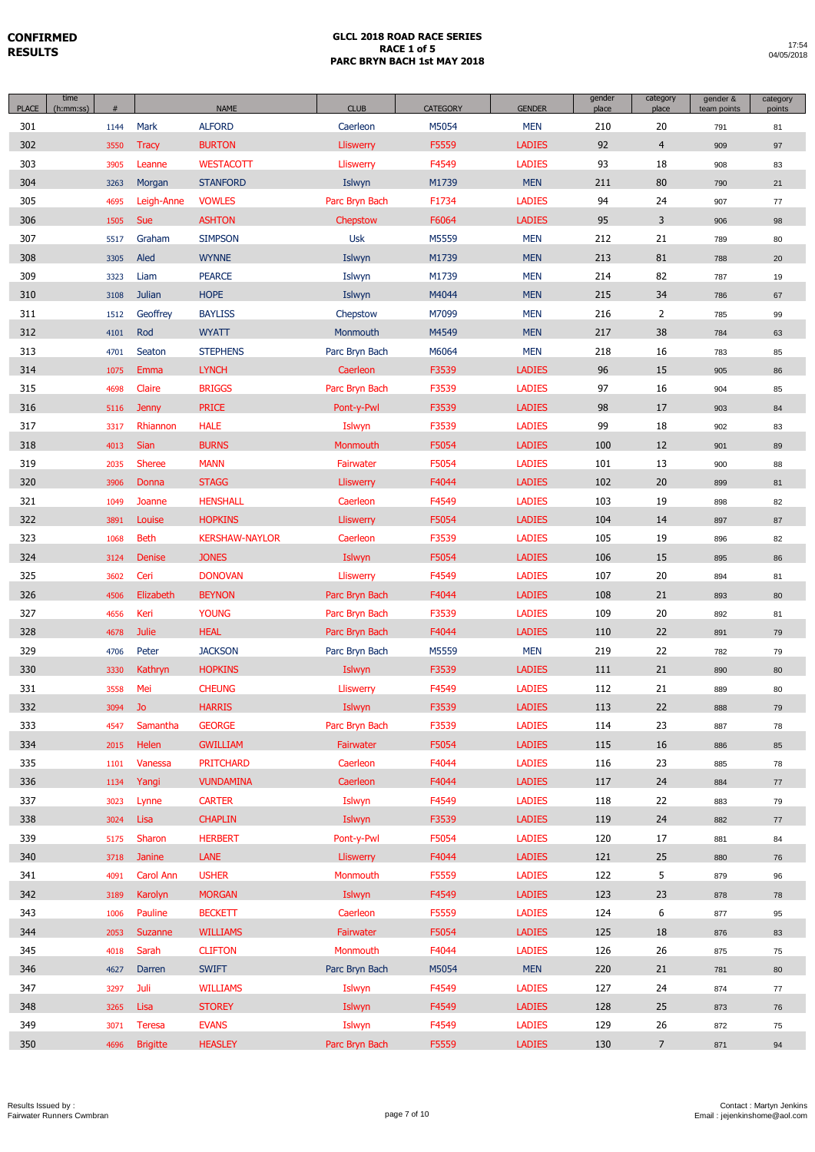| <b>PLACE</b> | time<br>(h:mm:ss) | $\#$ |                 | <b>NAME</b>           | <b>CLUB</b>      | CATEGORY | <b>GENDER</b> | gender<br>place | category<br>place | gender &<br>team points | category<br>points |
|--------------|-------------------|------|-----------------|-----------------------|------------------|----------|---------------|-----------------|-------------------|-------------------------|--------------------|
| 301          |                   | 1144 | Mark            | <b>ALFORD</b>         | Caerleon         | M5054    | <b>MEN</b>    | 210             | 20                | 791                     | 81                 |
| 302          |                   | 3550 | <b>Tracy</b>    | <b>BURTON</b>         | <b>Lliswerry</b> | F5559    | <b>LADIES</b> | 92              | $\overline{4}$    | 909                     | 97                 |
| 303          |                   | 3905 | Leanne          | <b>WESTACOTT</b>      | Lliswerry        | F4549    | <b>LADIES</b> | 93              | 18                | 908                     | 83                 |
| 304          |                   | 3263 | Morgan          | <b>STANFORD</b>       | Islwyn           | M1739    | <b>MEN</b>    | 211             | 80                | 790                     | 21                 |
| 305          |                   | 4695 | Leigh-Anne      | <b>VOWLES</b>         | Parc Bryn Bach   | F1734    | <b>LADIES</b> | 94              | 24                | 907                     | 77                 |
| 306          |                   | 1505 | <b>Sue</b>      | <b>ASHTON</b>         | Chepstow         | F6064    | <b>LADIES</b> | 95              | 3                 | 906                     | 98                 |
| 307          |                   | 5517 | Graham          | <b>SIMPSON</b>        | <b>Usk</b>       | M5559    | <b>MEN</b>    | 212             | 21                | 789                     | 80                 |
| 308          |                   | 3305 | Aled            | <b>WYNNE</b>          | Islwyn           | M1739    | <b>MEN</b>    | 213             | 81                | 788                     | 20                 |
| 309          |                   | 3323 | Liam            | <b>PEARCE</b>         | Islwyn           | M1739    | <b>MEN</b>    | 214             | 82                | 787                     | 19                 |
| 310          |                   | 3108 | <b>Julian</b>   | <b>HOPE</b>           | Islwyn           | M4044    | <b>MEN</b>    | 215             | 34                | 786                     | 67                 |
| 311          |                   | 1512 | Geoffrey        | <b>BAYLISS</b>        | Chepstow         | M7099    | <b>MEN</b>    | 216             | $\overline{2}$    | 785                     | 99                 |
| 312          |                   | 4101 | Rod             | <b>WYATT</b>          | Monmouth         | M4549    | <b>MEN</b>    | 217             | 38                | 784                     | 63                 |
| 313          |                   | 4701 | Seaton          | <b>STEPHENS</b>       | Parc Bryn Bach   | M6064    | <b>MEN</b>    | 218             | 16                | 783                     | 85                 |
| 314          |                   | 1075 | Emma            | <b>LYNCH</b>          | Caerleon         | F3539    | <b>LADIES</b> | 96              | 15                | 905                     | 86                 |
| 315          |                   | 4698 | Claire          | <b>BRIGGS</b>         | Parc Bryn Bach   | F3539    | <b>LADIES</b> | 97              | 16                | 904                     | 85                 |
| 316          |                   | 5116 | <b>Jenny</b>    | <b>PRICE</b>          | Pont-y-Pwl       | F3539    | <b>LADIES</b> | 98              | 17                | 903                     | 84                 |
| 317          |                   | 3317 | Rhiannon        | <b>HALE</b>           | Islwyn           | F3539    | <b>LADIES</b> | 99              | 18                | 902                     | 83                 |
| 318          |                   | 4013 | <b>Sian</b>     | <b>BURNS</b>          | Monmouth         | F5054    | <b>LADIES</b> | 100             | 12                | 901                     | 89                 |
| 319          |                   | 2035 | <b>Sheree</b>   | <b>MANN</b>           | Fairwater        | F5054    | <b>LADIES</b> | 101             | 13                | 900                     | 88                 |
| 320          |                   | 3906 | Donna           | <b>STAGG</b>          | Lliswerry        | F4044    | <b>LADIES</b> | 102             | 20                | 899                     | 81                 |
| 321          |                   | 1049 | Joanne          | <b>HENSHALL</b>       | Caerleon         | F4549    | <b>LADIES</b> | 103             | 19                | 898                     | 82                 |
| 322          |                   | 3891 | Louise          | <b>HOPKINS</b>        | Lliswerry        | F5054    | <b>LADIES</b> | 104             | 14                | 897                     | 87                 |
| 323          |                   | 1068 | <b>Beth</b>     | <b>KERSHAW-NAYLOR</b> | Caerleon         | F3539    | <b>LADIES</b> | 105             | 19                | 896                     | 82                 |
| 324          |                   | 3124 | <b>Denise</b>   | <b>JONES</b>          | Islwyn           | F5054    | <b>LADIES</b> | 106             | 15                | 895                     | 86                 |
| 325          |                   | 3602 | Ceri            | <b>DONOVAN</b>        | Lliswerry        | F4549    | <b>LADIES</b> | 107             | 20                | 894                     | 81                 |
| 326          |                   | 4506 | Elizabeth       | <b>BEYNON</b>         | Parc Bryn Bach   | F4044    | <b>LADIES</b> | 108             | 21                | 893                     | 80                 |
| 327          |                   | 4656 | Keri            | <b>YOUNG</b>          | Parc Bryn Bach   | F3539    | <b>LADIES</b> | 109             | 20                | 892                     | 81                 |
| 328          |                   | 4678 | <b>Julie</b>    | <b>HEAL</b>           | Parc Bryn Bach   | F4044    | <b>LADIES</b> | 110             | 22                | 891                     | 79                 |
| 329          |                   | 4706 | Peter           | <b>JACKSON</b>        | Parc Bryn Bach   | M5559    | <b>MEN</b>    | 219             | 22                | 782                     | 79                 |
| 330          |                   | 3330 | Kathryn         | <b>HOPKINS</b>        | Islwyn           | F3539    | <b>LADIES</b> | 111             | 21                | 890                     | 80                 |
| 331          |                   | 3558 | Mei             | <b>CHEUNG</b>         | Lliswerry        | F4549    | <b>LADIES</b> | 112             | 21                | 889                     | 80                 |
| 332          |                   | 3094 | Jo              | <b>HARRIS</b>         | Islwyn           | F3539    | <b>LADIES</b> | 113             | $22\,$            | 888                     | 79                 |
| 333          |                   | 4547 | Samantha        | <b>GEORGE</b>         | Parc Bryn Bach   | F3539    | <b>LADIES</b> | 114             | 23                | 887                     | 78                 |
| 334          |                   | 2015 | Helen           | <b>GWILLIAM</b>       | Fairwater        | F5054    | <b>LADIES</b> | 115             | 16                | 886                     | 85                 |
| 335          |                   | 1101 | Vanessa         | <b>PRITCHARD</b>      | Caerleon         | F4044    | <b>LADIES</b> | 116             | 23                | 885                     | 78                 |
| 336          |                   | 1134 | Yangi           | <b>VUNDAMINA</b>      | Caerleon         | F4044    | <b>LADIES</b> | 117             | 24                | 884                     | 77                 |
| 337          |                   | 3023 | Lynne           | <b>CARTER</b>         | Islwyn           | F4549    | <b>LADIES</b> | 118             | 22                | 883                     | 79                 |
| 338          |                   | 3024 | Lisa            | <b>CHAPLIN</b>        | Islwyn           | F3539    | <b>LADIES</b> | 119             | 24                | 882                     | $77\,$             |
| 339          |                   | 5175 | Sharon          | <b>HERBERT</b>        | Pont-y-Pwl       | F5054    | <b>LADIES</b> | 120             | 17                | 881                     | 84                 |
| 340          |                   | 3718 | Janine          | <b>LANE</b>           | Lliswerry        | F4044    | <b>LADIES</b> | 121             | 25                | 880                     | 76                 |
| 341          |                   | 4091 | Carol Ann       | <b>USHER</b>          | Monmouth         | F5559    | <b>LADIES</b> | 122             | 5                 | 879                     | 96                 |
| 342          |                   | 3189 | Karolyn         | <b>MORGAN</b>         | Islwyn           | F4549    | <b>LADIES</b> | 123             | 23                | 878                     | 78                 |
| 343          |                   | 1006 | Pauline         | <b>BECKETT</b>        | Caerleon         | F5559    | <b>LADIES</b> | 124             | 6                 | 877                     | 95                 |
| 344          |                   | 2053 | Suzanne         | <b>WILLIAMS</b>       | Fairwater        | F5054    | <b>LADIES</b> | 125             | 18                | 876                     | 83                 |
| 345          |                   | 4018 | Sarah           | <b>CLIFTON</b>        | Monmouth         | F4044    | <b>LADIES</b> | 126             | 26                | 875                     | 75                 |
| 346          |                   | 4627 | Darren          | <b>SWIFT</b>          | Parc Bryn Bach   | M5054    | <b>MEN</b>    | 220             | 21                | 781                     | 80                 |
| 347          |                   | 3297 | Juli            | <b>WILLIAMS</b>       | Islwyn           | F4549    | <b>LADIES</b> | 127             | 24                | 874                     | 77                 |
| 348          |                   | 3265 | Lisa            | <b>STOREY</b>         | Islwyn           | F4549    | <b>LADIES</b> | 128             | 25                | 873                     | 76                 |
| 349          |                   | 3071 | <b>Teresa</b>   | <b>EVANS</b>          | Islwyn           | F4549    | <b>LADIES</b> | 129             | 26                | 872                     | 75                 |
| 350          |                   | 4696 | <b>Brigitte</b> | <b>HEASLEY</b>        | Parc Bryn Bach   | F5559    | <b>LADIES</b> | 130             | $\overline{7}$    | 871                     | 94                 |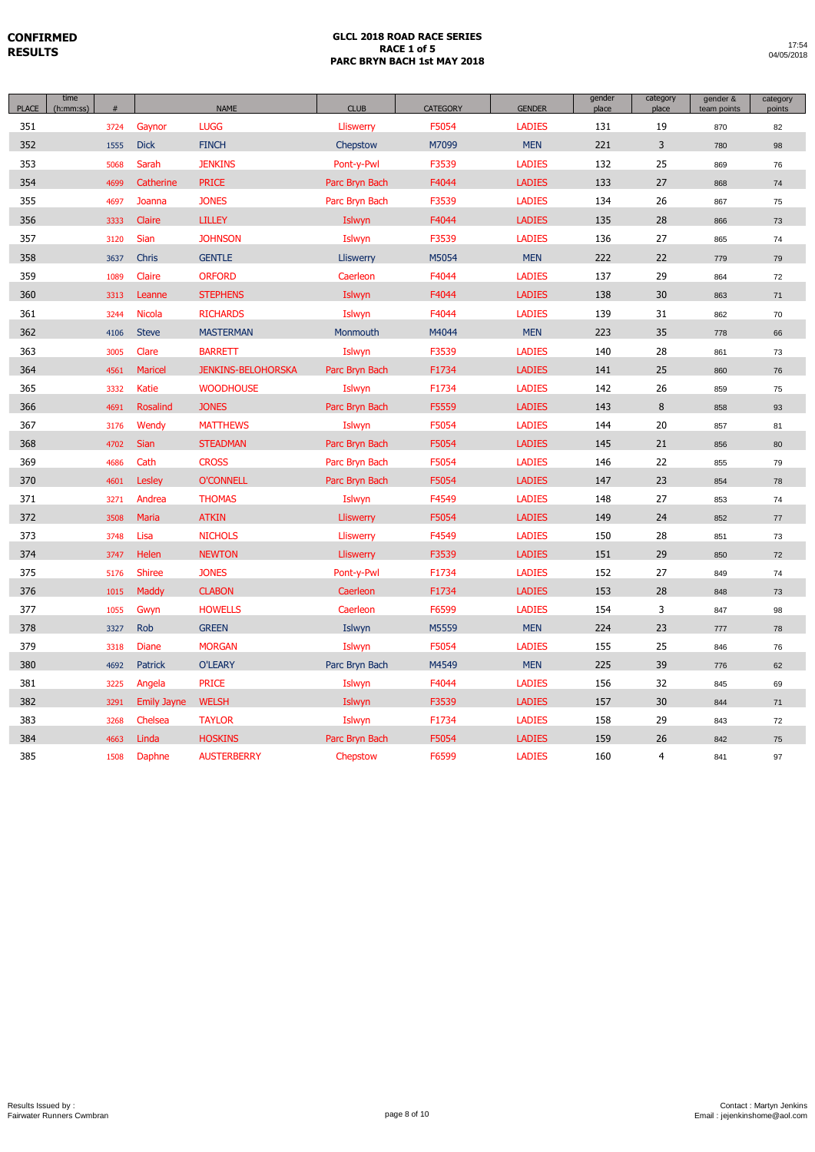| <b>PLACE</b> | time<br>(h:mm:ss) | #    |                    | <b>NAME</b>               | <b>CLUB</b>    | <b>CATEGORY</b> | <b>GENDER</b> | gender<br>place | category<br>place | gender &<br>team points | category<br>points |
|--------------|-------------------|------|--------------------|---------------------------|----------------|-----------------|---------------|-----------------|-------------------|-------------------------|--------------------|
| 351          |                   | 3724 | Gaynor             | <b>LUGG</b>               | Lliswerry      | F5054           | <b>LADIES</b> | 131             | 19                | 870                     | 82                 |
| 352          |                   | 1555 | <b>Dick</b>        | <b>FINCH</b>              | Chepstow       | M7099           | <b>MEN</b>    | 221             | 3                 | 780                     | 98                 |
| 353          |                   | 5068 | Sarah              | <b>JENKINS</b>            | Pont-y-Pwl     | F3539           | <b>LADIES</b> | 132             | 25                | 869                     | 76                 |
| 354          |                   | 4699 | Catherine          | <b>PRICE</b>              | Parc Bryn Bach | F4044           | <b>LADIES</b> | 133             | 27                | 868                     | 74                 |
| 355          |                   | 4697 | Joanna             | <b>JONES</b>              | Parc Bryn Bach | F3539           | <b>LADIES</b> | 134             | 26                | 867                     | 75                 |
| 356          |                   | 3333 | Claire             | <b>LILLEY</b>             | Islwyn         | F4044           | <b>LADIES</b> | 135             | 28                | 866                     | 73                 |
| 357          |                   | 3120 | Sian               | <b>JOHNSON</b>            | Islwyn         | F3539           | <b>LADIES</b> | 136             | 27                | 865                     | 74                 |
| 358          |                   | 3637 | Chris              | <b>GENTLE</b>             | Lliswerry      | M5054           | <b>MEN</b>    | 222             | 22                | 779                     | 79                 |
| 359          |                   | 1089 | Claire             | <b>ORFORD</b>             | Caerleon       | F4044           | <b>LADIES</b> | 137             | 29                | 864                     | 72                 |
| 360          |                   | 3313 | Leanne             | <b>STEPHENS</b>           | Islwyn         | F4044           | <b>LADIES</b> | 138             | 30                | 863                     | 71                 |
| 361          |                   | 3244 | <b>Nicola</b>      | <b>RICHARDS</b>           | Islwyn         | F4044           | <b>LADIES</b> | 139             | 31                | 862                     | 70                 |
| 362          |                   | 4106 | <b>Steve</b>       | <b>MASTERMAN</b>          | Monmouth       | M4044           | <b>MEN</b>    | 223             | 35                | 778                     | 66                 |
| 363          |                   | 3005 | Clare              | <b>BARRETT</b>            | Islwyn         | F3539           | <b>LADIES</b> | 140             | 28                | 861                     | 73                 |
| 364          |                   | 4561 | <b>Maricel</b>     | <b>JENKINS-BELOHORSKA</b> | Parc Bryn Bach | F1734           | <b>LADIES</b> | 141             | 25                | 860                     | 76                 |
| 365          |                   | 3332 | <b>Katie</b>       | <b>WOODHOUSE</b>          | Islwyn         | F1734           | <b>LADIES</b> | 142             | 26                | 859                     | 75                 |
| 366          |                   | 4691 | <b>Rosalind</b>    | <b>JONES</b>              | Parc Bryn Bach | F5559           | <b>LADIES</b> | 143             | 8                 | 858                     | 93                 |
| 367          |                   | 3176 | Wendy              | <b>MATTHEWS</b>           | Islwyn         | F5054           | <b>LADIES</b> | 144             | 20                | 857                     | 81                 |
| 368          |                   | 4702 | <b>Sian</b>        | <b>STEADMAN</b>           | Parc Bryn Bach | F5054           | <b>LADIES</b> | 145             | 21                | 856                     | 80                 |
| 369          |                   | 4686 | Cath               | <b>CROSS</b>              | Parc Bryn Bach | F5054           | <b>LADIES</b> | 146             | 22                | 855                     | 79                 |
| 370          |                   | 4601 | Lesley             | <b>O'CONNELL</b>          | Parc Bryn Bach | F5054           | <b>LADIES</b> | 147             | 23                | 854                     | 78                 |
| 371          |                   | 3271 | Andrea             | <b>THOMAS</b>             | Islwyn         | F4549           | <b>LADIES</b> | 148             | 27                | 853                     | 74                 |
| 372          |                   | 3508 | Maria              | <b>ATKIN</b>              | Lliswerry      | F5054           | <b>LADIES</b> | 149             | 24                | 852                     | 77                 |
| 373          |                   | 3748 | Lisa               | <b>NICHOLS</b>            | Lliswerry      | F4549           | <b>LADIES</b> | 150             | 28                | 851                     | 73                 |
| 374          |                   | 3747 | Helen              | <b>NEWTON</b>             | Lliswerry      | F3539           | <b>LADIES</b> | 151             | 29                | 850                     | 72                 |
| 375          |                   | 5176 | <b>Shiree</b>      | <b>JONES</b>              | Pont-y-Pwl     | F1734           | <b>LADIES</b> | 152             | 27                | 849                     | 74                 |
| 376          |                   | 1015 | Maddy              | <b>CLABON</b>             | Caerleon       | F1734           | <b>LADIES</b> | 153             | 28                | 848                     | 73                 |
| 377          |                   | 1055 | Gwyn               | <b>HOWELLS</b>            | Caerleon       | F6599           | <b>LADIES</b> | 154             | 3                 | 847                     | 98                 |
| 378          |                   | 3327 | Rob                | <b>GREEN</b>              | Islwyn         | M5559           | <b>MEN</b>    | 224             | 23                | 777                     | 78                 |
| 379          |                   | 3318 | <b>Diane</b>       | <b>MORGAN</b>             | Islwyn         | F5054           | <b>LADIES</b> | 155             | 25                | 846                     | 76                 |
| 380          |                   | 4692 | <b>Patrick</b>     | <b>O'LEARY</b>            | Parc Bryn Bach | M4549           | <b>MEN</b>    | 225             | 39                | 776                     | 62                 |
| 381          |                   | 3225 | Angela             | <b>PRICE</b>              | Islwyn         | F4044           | <b>LADIES</b> | 156             | 32                | 845                     | 69                 |
| 382          |                   | 3291 | <b>Emily Jayne</b> | <b>WELSH</b>              | Islwyn         | F3539           | <b>LADIES</b> | 157             | 30                | 844                     | 71                 |
| 383          |                   | 3268 | Chelsea            | <b>TAYLOR</b>             | Islwyn         | F1734           | <b>LADIES</b> | 158             | 29                | 843                     | 72                 |
| 384          |                   | 4663 | Linda              | <b>HOSKINS</b>            | Parc Bryn Bach | F5054           | <b>LADIES</b> | 159             | 26                | 842                     | 75                 |
| 385          |                   | 1508 | Daphne             | <b>AUSTERBERRY</b>        | Chepstow       | F6599           | <b>LADIES</b> | 160             | 4                 | 841                     | 97                 |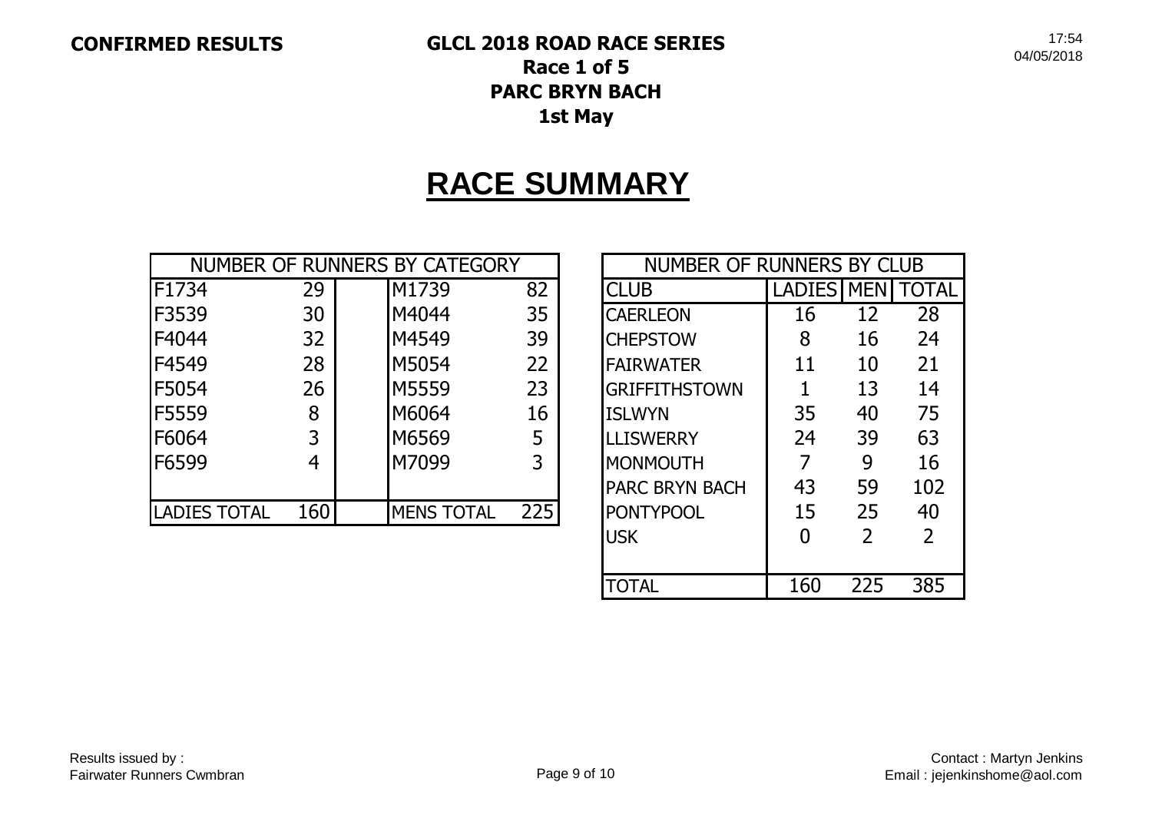# **RACE SUMMARY**

| NUMBER OF RUNNERS BY CATEGORY |     |                   |     | <b>NUMBER OF RUNNERS BY CLUB</b> |               |             |              |
|-------------------------------|-----|-------------------|-----|----------------------------------|---------------|-------------|--------------|
| F1734                         | 29  | M1739             | 82  | <b>CLUB</b>                      | <b>LADIES</b> | <b>MENI</b> | <b>TOTAL</b> |
| F3539                         | 30  | M4044             | 35  | <b>CAERLEON</b>                  | 16            | 12          | 28           |
| F4044                         | 32  | M4549             | 39  | <b>CHEPSTOW</b>                  | 8             | 16          | 24           |
| F4549                         | 28  | M5054             | 22  | <b>FAIRWATER</b>                 | 11            | 10          | 21           |
| F5054                         | 26  | M5559             | 23  | <b>GRIFFITHSTOWN</b>             |               | 13          | 14           |
| F5559                         | 8   | M6064             | 16  | <b>ISLWYN</b>                    | 35            | 40          | 75           |
| F6064                         | 3   | M6569             | 5   | <b>LLISWERRY</b>                 | 24            | 39          | 63           |
| F6599                         | 4   | M7099             | 3   | <b>MONMOUTH</b>                  |               | 9           | 16           |
|                               |     |                   |     | <b>PARC BRYN BACH</b>            | 43            | 59          | 102          |
| <b>LADIES TOTAL</b>           | 160 | <b>MENS TOTAL</b> | 225 | <b>PONTYPOOL</b>                 | 15            | 25          | 40           |

| NUMBER OF RUNNERS BY CLUB |                   |                |                |  |  |  |  |
|---------------------------|-------------------|----------------|----------------|--|--|--|--|
| ICLUB                     | <b>LADIES MEN</b> |                | TOTAL          |  |  |  |  |
| <b>CAERLEON</b>           | 16                | 12             | 28             |  |  |  |  |
| <b>CHEPSTOW</b>           | 8                 | 16             | 24             |  |  |  |  |
| <b>FAIRWATER</b>          | 11                | 10             | 21             |  |  |  |  |
| <b>GRIFFITHSTOWN</b>      | 1                 | 13             | 14             |  |  |  |  |
| <b>ISLWYN</b>             | 35                | 40             | 75             |  |  |  |  |
| <b>LLISWERRY</b>          | 24                | 39             | 63             |  |  |  |  |
| MONMOUTH                  | 7                 | 9              | 16             |  |  |  |  |
| <b>PARC BRYN BACH</b>     | 43                | 59             | 102            |  |  |  |  |
| <b>PONTYPOOL</b>          | 15                | 25             | 40             |  |  |  |  |
| <b>USK</b>                |                   | $\overline{2}$ | $\overline{2}$ |  |  |  |  |
|                           |                   |                |                |  |  |  |  |
| <b>TOTAL</b>              | 160               | 225            | 385            |  |  |  |  |